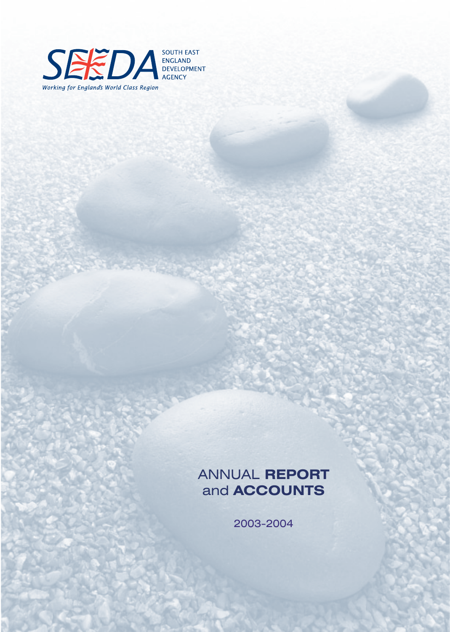

### ANNUAL **REPORT** and **ACCOUNTS**

2003-2004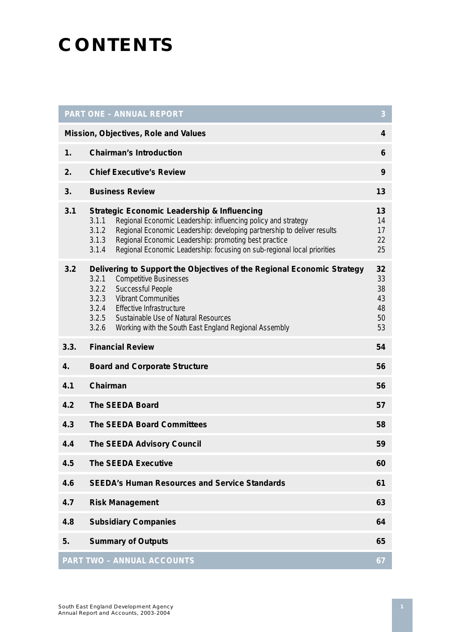## **CONTENTS**

| <b>PART ONE - ANNUAL REPORT</b><br>3                   |                                                                                                                                                                                                                                                                                                                                                                            |                                        |  |  |
|--------------------------------------------------------|----------------------------------------------------------------------------------------------------------------------------------------------------------------------------------------------------------------------------------------------------------------------------------------------------------------------------------------------------------------------------|----------------------------------------|--|--|
| $\overline{4}$<br>Mission, Objectives, Role and Values |                                                                                                                                                                                                                                                                                                                                                                            |                                        |  |  |
| $\mathbf{1}$ .                                         | <b>Chairman's Introduction</b>                                                                                                                                                                                                                                                                                                                                             | 6                                      |  |  |
| 2.                                                     | 9<br><b>Chief Executive's Review</b>                                                                                                                                                                                                                                                                                                                                       |                                        |  |  |
| 3.                                                     | <b>Business Review</b><br>13                                                                                                                                                                                                                                                                                                                                               |                                        |  |  |
| 3.1                                                    | <b>Strategic Economic Leadership &amp; Influencing</b><br>3.1.1<br>Regional Economic Leadership: influencing policy and strategy<br>Regional Economic Leadership: developing partnership to deliver results<br>3.1.2<br>Regional Economic Leadership: promoting best practice<br>3.1.3<br>Regional Economic Leadership: focusing on sub-regional local priorities<br>3.1.4 | 13<br>14<br>17<br>22<br>25             |  |  |
| 3.2                                                    | Delivering to Support the Objectives of the Regional Economic Strategy<br><b>Competitive Businesses</b><br>3.2.1<br>3.2.2<br>Successful People<br>3.2.3 Vibrant Communities<br>3.2.4 Effective Infrastructure<br>3.2.5 Sustainable Use of Natural Resources<br>3.2.6<br>Working with the South East England Regional Assembly                                              | 32<br>33<br>38<br>43<br>48<br>50<br>53 |  |  |
| 3.3.                                                   | <b>Financial Review</b><br>54                                                                                                                                                                                                                                                                                                                                              |                                        |  |  |
| 4.                                                     | <b>Board and Corporate Structure</b>                                                                                                                                                                                                                                                                                                                                       | 56                                     |  |  |
| 4.1                                                    | Chairman<br>56                                                                                                                                                                                                                                                                                                                                                             |                                        |  |  |
| 4.2                                                    | <b>The SEEDA Board</b><br>57                                                                                                                                                                                                                                                                                                                                               |                                        |  |  |
| 4.3                                                    | <b>The SEEDA Board Committees</b><br>58                                                                                                                                                                                                                                                                                                                                    |                                        |  |  |
| 4.4                                                    | 59<br><b>The SEEDA Advisory Council</b>                                                                                                                                                                                                                                                                                                                                    |                                        |  |  |
| 4.5                                                    | <b>The SEEDA Executive</b><br>60                                                                                                                                                                                                                                                                                                                                           |                                        |  |  |
| 4.6                                                    | <b>SEEDA's Human Resources and Service Standards</b><br>61                                                                                                                                                                                                                                                                                                                 |                                        |  |  |
| 4.7                                                    | <b>Risk Management</b><br>63                                                                                                                                                                                                                                                                                                                                               |                                        |  |  |
| 4.8                                                    | <b>Subsidiary Companies</b><br>64                                                                                                                                                                                                                                                                                                                                          |                                        |  |  |
| 5.                                                     | <b>Summary of Outputs</b>                                                                                                                                                                                                                                                                                                                                                  | 65                                     |  |  |
| <b>PART TWO - ANNUAL ACCOUNTS</b><br>67                |                                                                                                                                                                                                                                                                                                                                                                            |                                        |  |  |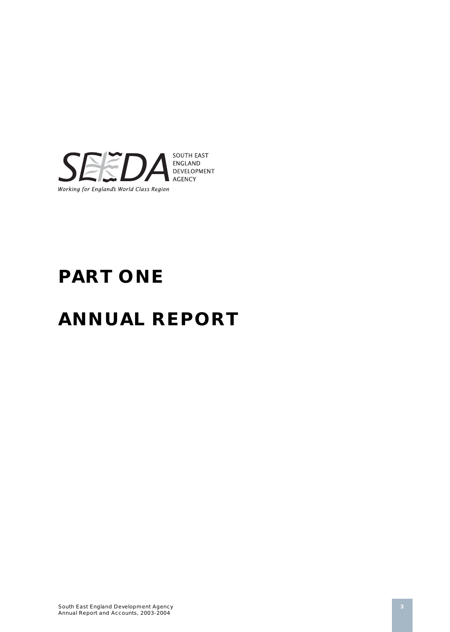

## DEVELOPMENT

### **PART ONE**

### **ANNUAL REPORT**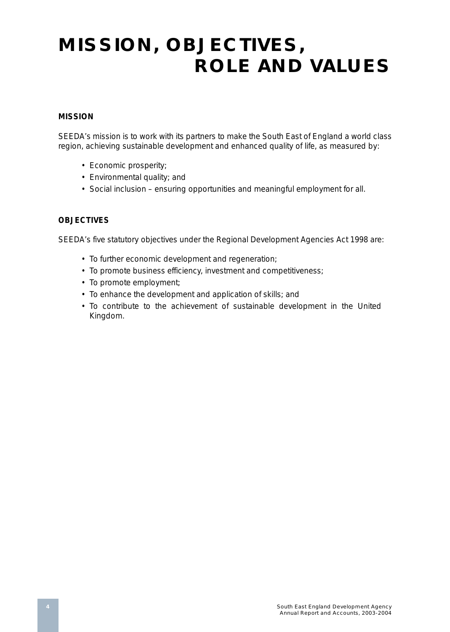## **MISSION, OBJECTIVES, ROLE AND VALUES**

#### **MISSION**

SEEDA's mission is to work with its partners to make the South East of England a world class region, achieving sustainable development and enhanced quality of life, as measured by:

- Economic prosperity;
- Environmental quality; and
- Social inclusion ensuring opportunities and meaningful employment for all.

#### **OBJECTIVES**

SEEDA's five statutory objectives under the Regional Development Agencies Act 1998 are:

- To further economic development and regeneration;
- To promote business efficiency, investment and competitiveness;
- To promote employment;
- To enhance the development and application of skills; and
- To contribute to the achievement of sustainable development in the United Kingdom.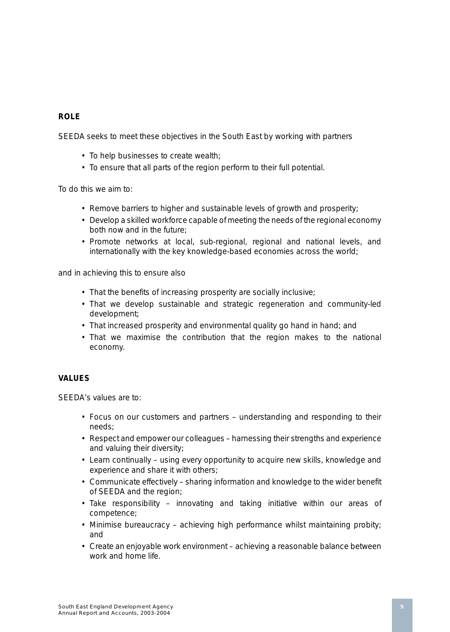#### **ROLE**

SEEDA seeks to meet these objectives in the South East by working with partners

- To help businesses to create wealth;
- To ensure that all parts of the region perform to their full potential.

To do this we aim to:

- Remove barriers to higher and sustainable levels of growth and prosperity;
- Develop a skilled workforce capable of meeting the needs of the regional economy both now and in the future;
- Promote networks at local, sub-regional, regional and national levels, and internationally with the key knowledge-based economies across the world;

and in achieving this to ensure also

- That the benefits of increasing prosperity are socially inclusive;
- That we develop sustainable and strategic regeneration and community-led development;
- That increased prosperity and environmental quality go hand in hand; and
- That we maximise the contribution that the region makes to the national economy.

#### **VALUES**

SEEDA's values are to:

- Focus on our customers and partners understanding and responding to their needs;
- Respect and empower our colleagues harnessing their strengths and experience and valuing their diversity;
- Learn continually using every opportunity to acquire new skills, knowledge and experience and share it with others;
- Communicate effectively sharing information and knowledge to the wider benefit of SEEDA and the region;
- Take responsibility innovating and taking initiative within our areas of competence;
- Minimise bureaucracy achieving high performance whilst maintaining probity; and
- Create an enjoyable work environment achieving a reasonable balance between work and home life.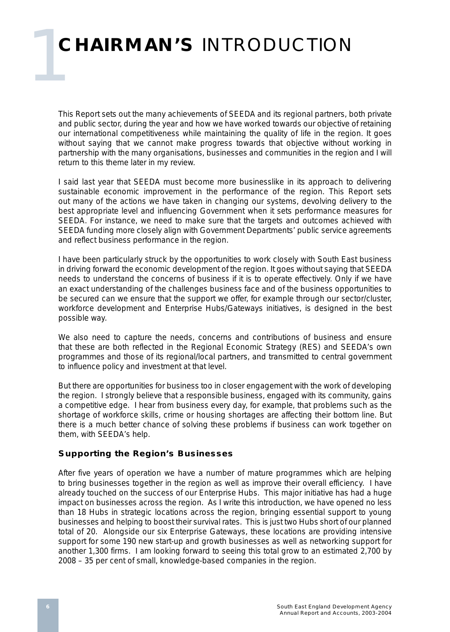# **CHAIRMAN'S** INTRODUCTION *1***CHAIRMAN'S** INTRODUCTION

This Report sets out the many achievements of SEEDA and its regional partners, both private and public sector, during the year and how we have worked towards our objective of retaining our international competitiveness while maintaining the quality of life in the region. It goes without saying that we cannot make progress towards that objective without working in partnership with the many organisations, businesses and communities in the region and I will return to this theme later in my review.

I said last year that SEEDA must become more businesslike in its approach to delivering sustainable economic improvement in the performance of the region. This Report sets out many of the actions we have taken in changing our systems, devolving delivery to the best appropriate level and influencing Government when it sets performance measures for SEEDA. For instance, we need to make sure that the targets and outcomes achieved with SEEDA funding more closely align with Government Departments' public service agreements and reflect business performance in the region.

I have been particularly struck by the opportunities to work closely with South East business in driving forward the economic development of the region. It goes without saying that SEEDA needs to understand the concerns of business if it is to operate effectively. Only if we have an exact understanding of the challenges business face and of the business opportunities to be secured can we ensure that the support we offer, for example through our sector/cluster, workforce development and Enterprise Hubs/Gateways initiatives, is designed in the best possible way.

We also need to capture the needs, concerns and contributions of business and ensure that these are both reflected in the Regional Economic Strategy (RES) and SEEDA's own programmes and those of its regional/local partners, and transmitted to central government to influence policy and investment at that level.

But there are opportunities for business too in closer engagement with the work of developing the region. I strongly believe that a responsible business, engaged with its community, gains a competitive edge. I hear from business every day, for example, that problems such as the shortage of workforce skills, crime or housing shortages are affecting their bottom line. But there is a much better chance of solving these problems if business can work together on them, with SEEDA's help.

#### **Supporting the Region's Businesses**

After five years of operation we have a number of mature programmes which are helping to bring businesses together in the region as well as improve their overall efficiency. I have already touched on the success of our Enterprise Hubs. This major initiative has had a huge impact on businesses across the region. As I write this introduction, we have opened no less than 18 Hubs in strategic locations across the region, bringing essential support to young businesses and helping to boost their survival rates. This is just two Hubs short of our planned total of 20. Alongside our six Enterprise Gateways, these locations are providing intensive support for some 190 new start-up and growth businesses as well as networking support for another 1,300 firms. I am looking forward to seeing this total grow to an estimated 2,700 by 2008 – 35 per cent of small, knowledge-based companies in the region.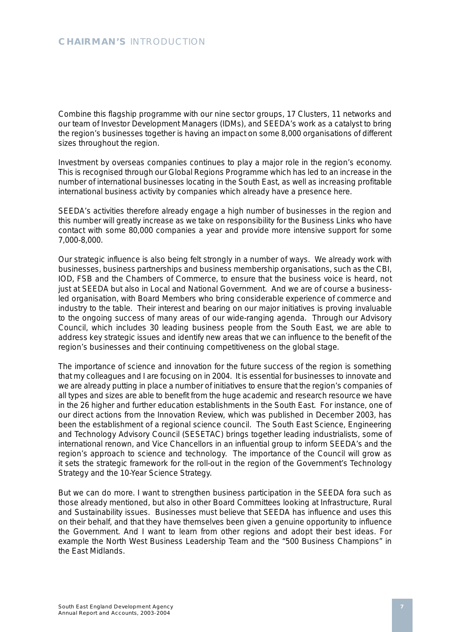Combine this flagship programme with our nine sector groups, 17 Clusters, 11 networks and our team of Investor Development Managers (IDMs), and SEEDA's work as a catalyst to bring the region's businesses together is having an impact on some 8,000 organisations of different sizes throughout the region.

Investment by overseas companies continues to play a major role in the region's economy. This is recognised through our Global Regions Programme which has led to an increase in the number of international businesses locating in the South East, as well as increasing profitable international business activity by companies which already have a presence here.

SEEDA's activities therefore already engage a high number of businesses in the region and this number will greatly increase as we take on responsibility for the Business Links who have contact with some 80,000 companies a year and provide more intensive support for some 7,000-8,000.

Our strategic influence is also being felt strongly in a number of ways. We already work with businesses, business partnerships and business membership organisations, such as the CBI, IOD, FSB and the Chambers of Commerce, to ensure that the business voice is heard, not just at SEEDA but also in Local and National Government. And we are of course a businessled organisation, with Board Members who bring considerable experience of commerce and industry to the table. Their interest and bearing on our major initiatives is proving invaluable to the ongoing success of many areas of our wide-ranging agenda. Through our Advisory Council, which includes 30 leading business people from the South East, we are able to address key strategic issues and identify new areas that we can influence to the benefit of the region's businesses and their continuing competitiveness on the global stage.

The importance of science and innovation for the future success of the region is something that my colleagues and I are focusing on in 2004. It is essential for businesses to innovate and we are already putting in place a number of initiatives to ensure that the region's companies of all types and sizes are able to benefit from the huge academic and research resource we have in the 26 higher and further education establishments in the South East. For instance, one of our direct actions from the Innovation Review, which was published in December 2003, has been the establishment of a regional science council. The South East Science, Engineering and Technology Advisory Council (SESETAC) brings together leading industrialists, some of international renown, and Vice Chancellors in an influential group to inform SEEDA's and the region's approach to science and technology. The importance of the Council will grow as it sets the strategic framework for the roll-out in the region of the Government's Technology Strategy and the 10-Year Science Strategy.

But we can do more. I want to strengthen business participation in the SEEDA fora such as those already mentioned, but also in other Board Committees looking at Infrastructure, Rural and Sustainability issues. Businesses must believe that SEEDA has influence and uses this on their behalf, and that they have themselves been given a genuine opportunity to influence the Government. And I want to learn from other regions and adopt their best ideas. For example the North West Business Leadership Team and the "500 Business Champions" in the East Midlands.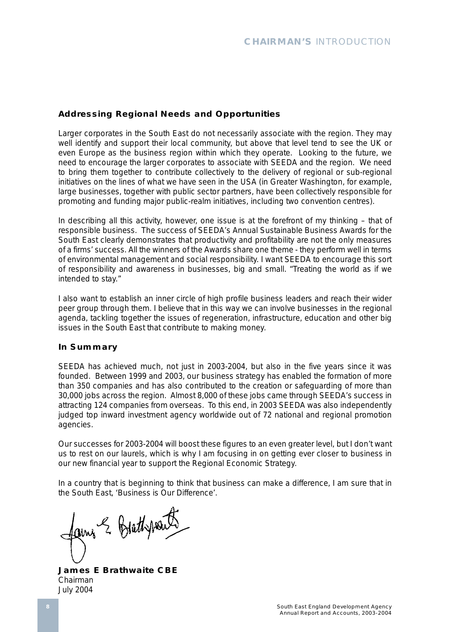#### **Addressing Regional Needs and Opportunities**

Larger corporates in the South East do not necessarily associate with the region. They may well identify and support their local community, but above that level tend to see the UK or even Europe as the business region within which they operate. Looking to the future, we need to encourage the larger corporates to associate with SEEDA and the region. We need to bring them together to contribute collectively to the delivery of regional or sub-regional initiatives on the lines of what we have seen in the USA (in Greater Washington, for example, large businesses, together with public sector partners, have been collectively responsible for promoting and funding major public-realm initiatives, including two convention centres).

In describing all this activity, however, one issue is at the forefront of my thinking – that of responsible business. The success of SEEDA's Annual Sustainable Business Awards for the South East clearly demonstrates that productivity and profitability are not the only measures of a firms' success. All the winners of the Awards share one theme - they perform well in terms of environmental management and social responsibility. I want SEEDA to encourage this sort of responsibility and awareness in businesses, big and small. "Treating the world as if we intended to stay."

I also want to establish an inner circle of high profile business leaders and reach their wider peer group through them. I believe that in this way we can involve businesses in the regional agenda, tackling together the issues of regeneration, infrastructure, education and other big issues in the South East that contribute to making money.

#### **In Summary**

SEEDA has achieved much, not just in 2003-2004, but also in the five years since it was founded. Between 1999 and 2003, our business strategy has enabled the formation of more than 350 companies and has also contributed to the creation or safeguarding of more than 30,000 jobs across the region. Almost 8,000 of these jobs came through SEEDA's success in attracting 124 companies from overseas. To this end, in 2003 SEEDA was also independently judged top inward investment agency worldwide out of 72 national and regional promotion agencies.

Our successes for 2003-2004 will boost these figures to an even greater level, but I don't want us to rest on our laurels, which is why I am focusing in on getting ever closer to business in our new financial year to support the Regional Economic Strategy.

In a country that is beginning to think that business can make a difference, I am sure that in the South East, 'Business is Our Difference'.

fam & Brathpout

**James E Brathwaite CBE** Chairman July 2004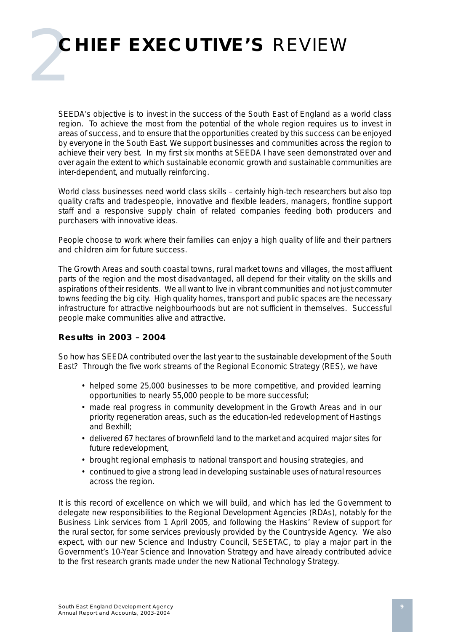

SEEDA's objective is to invest in the success of the South East of England as a world class region. To achieve the most from the potential of the whole region requires us to invest in areas of success, and to ensure that the opportunities created by this success can be enjoyed by everyone in the South East. We support businesses and communities across the region to achieve their very best. In my first six months at SEEDA I have seen demonstrated over and over again the extent to which sustainable economic growth and sustainable communities are inter-dependent, and mutually reinforcing.

World class businesses need world class skills – certainly high-tech researchers but also top quality crafts and tradespeople, innovative and flexible leaders, managers, frontline support staff and a responsive supply chain of related companies feeding both producers and purchasers with innovative ideas.

People choose to work where their families can enjoy a high quality of life and their partners and children aim for future success.

The Growth Areas and south coastal towns, rural market towns and villages, the most affluent parts of the region and the most disadvantaged, all depend for their vitality on the skills and aspirations of their residents. We all want to live in vibrant communities and not just commuter towns feeding the big city. High quality homes, transport and public spaces are the necessary infrastructure for attractive neighbourhoods but are not sufficient in themselves. Successful people make communities alive and attractive.

#### **Results in 2003 – 2004**

So how has SEEDA contributed over the last year to the sustainable development of the South East? Through the five work streams of the Regional Economic Strategy (RES), we have

- helped some 25,000 businesses to be more competitive, and provided learning opportunities to nearly 55,000 people to be more successful;
- made real progress in community development in the Growth Areas and in our priority regeneration areas, such as the education-led redevelopment of Hastings and Bexhill;
- delivered 67 hectares of brownfield land to the market and acquired major sites for future redevelopment,
- brought regional emphasis to national transport and housing strategies, and
- continued to give a strong lead in developing sustainable uses of natural resources across the region.

It is this record of excellence on which we will build, and which has led the Government to delegate new responsibilities to the Regional Development Agencies (RDAs), notably for the Business Link services from 1 April 2005, and following the Haskins' Review of support for the rural sector, for some services previously provided by the Countryside Agency. We also expect, with our new Science and Industry Council, SESETAC, to play a major part in the Government's 10-Year Science and Innovation Strategy and have already contributed advice to the first research grants made under the new National Technology Strategy.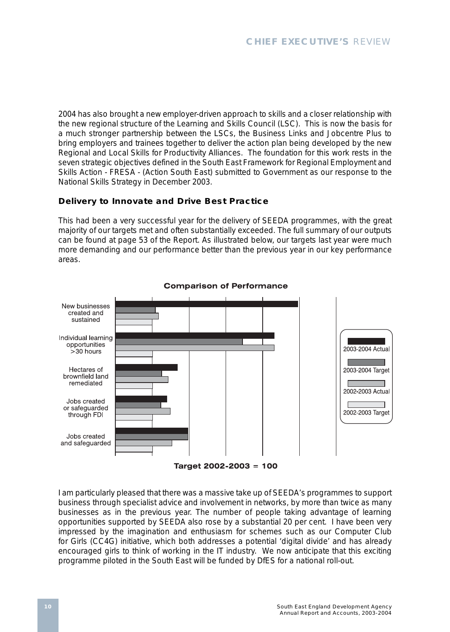2004 has also brought a new employer-driven approach to skills and a closer relationship with the new regional structure of the Learning and Skills Council (LSC). This is now the basis for a much stronger partnership between the LSCs, the Business Links and Jobcentre Plus to bring employers and trainees together to deliver the action plan being developed by the new Regional and Local Skills for Productivity Alliances. The foundation for this work rests in the seven strategic objectives defined in the South East Framework for Regional Employment and Skills Action - FRESA - (Action South East) submitted to Government as our response to the National Skills Strategy in December 2003.

#### **Delivery to Innovate and Drive Best Practice**

This had been a very successful year for the delivery of SEEDA programmes, with the great majority of our targets met and often substantially exceeded. The full summary of our outputs can be found at page 53 of the Report. As illustrated below, our targets last year were much more demanding and our performance better than the previous year in our key performance areas.



**Comparison of Performance** 

Target 2002-2003 = 100

I am particularly pleased that there was a massive take up of SEEDA's programmes to support business through specialist advice and involvement in networks, by more than twice as many businesses as in the previous year. The number of people taking advantage of learning opportunities supported by SEEDA also rose by a substantial 20 per cent. I have been very impressed by the imagination and enthusiasm for schemes such as our Computer Club for Girls (CC4G) initiative, which both addresses a potential 'digital divide' and has already encouraged girls to think of working in the IT industry. We now anticipate that this exciting programme piloted in the South East will be funded by DfES for a national roll-out.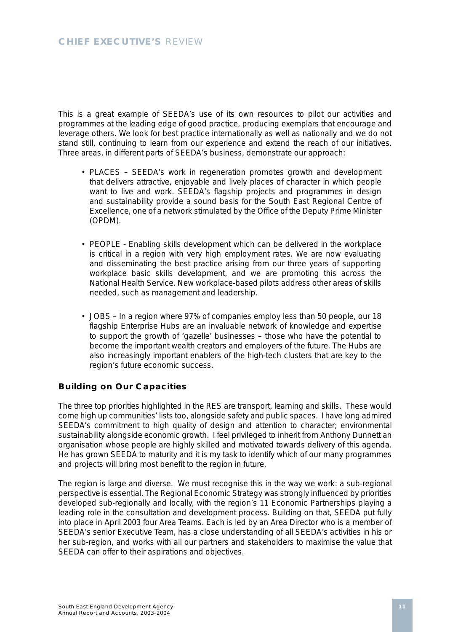This is a great example of SEEDA's use of its own resources to pilot our activities and programmes at the leading edge of good practice, producing exemplars that encourage and leverage others. We look for best practice internationally as well as nationally and we do not stand still, continuing to learn from our experience and extend the reach of our initiatives. Three areas, in different parts of SEEDA's business, demonstrate our approach:

- PLACES SEEDA's work in regeneration promotes growth and development that delivers attractive, enjoyable and lively places of character in which people want to live and work. SEEDA's flagship projects and programmes in design and sustainability provide a sound basis for the South East Regional Centre of Excellence, one of a network stimulated by the Office of the Deputy Prime Minister (OPDM).
- PEOPLE Enabling skills development which can be delivered in the workplace is critical in a region with very high employment rates. We are now evaluating and disseminating the best practice arising from our three years of supporting workplace basic skills development, and we are promoting this across the National Health Service. New workplace-based pilots address other areas of skills needed, such as management and leadership.
- JOBS In a region where 97% of companies employ less than 50 people, our 18 flagship Enterprise Hubs are an invaluable network of knowledge and expertise to support the growth of 'gazelle' businesses – those who have the potential to become the important wealth creators and employers of the future. The Hubs are also increasingly important enablers of the high-tech clusters that are key to the region's future economic success.

#### **Building on Our Capacities**

The three top priorities highlighted in the RES are transport, learning and skills. These would come high up communities' lists too, alongside safety and public spaces. I have long admired SEEDA's commitment to high quality of design and attention to character; environmental sustainability alongside economic growth. I feel privileged to inherit from Anthony Dunnett an organisation whose people are highly skilled and motivated towards delivery of this agenda. He has grown SEEDA to maturity and it is my task to identify which of our many programmes and projects will bring most benefit to the region in future.

The region is large and diverse. We must recognise this in the way we work: a sub-regional perspective is essential. The Regional Economic Strategy was strongly influenced by priorities developed sub-regionally and locally, with the region's 11 Economic Partnerships playing a leading role in the consultation and development process. Building on that, SEEDA put fully into place in April 2003 four Area Teams. Each is led by an Area Director who is a member of SEEDA's senior Executive Team, has a close understanding of all SEEDA's activities in his or her sub-region, and works with all our partners and stakeholders to maximise the value that SEEDA can offer to their aspirations and objectives.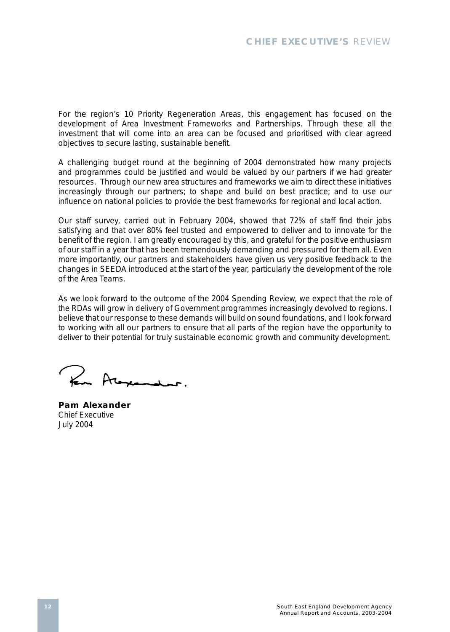For the region's 10 Priority Regeneration Areas, this engagement has focused on the development of Area Investment Frameworks and Partnerships. Through these all the investment that will come into an area can be focused and prioritised with clear agreed objectives to secure lasting, sustainable benefit.

A challenging budget round at the beginning of 2004 demonstrated how many projects and programmes could be justified and would be valued by our partners if we had greater resources. Through our new area structures and frameworks we aim to direct these initiatives increasingly through our partners; to shape and build on best practice; and to use our influence on national policies to provide the best frameworks for regional and local action.

Our staff survey, carried out in February 2004, showed that 72% of staff find their jobs satisfying and that over 80% feel trusted and empowered to deliver and to innovate for the benefit of the region. I am greatly encouraged by this, and grateful for the positive enthusiasm of our staff in a year that has been tremendously demanding and pressured for them all. Even more importantly, our partners and stakeholders have given us very positive feedback to the changes in SEEDA introduced at the start of the year, particularly the development of the role of the Area Teams.

As we look forward to the outcome of the 2004 Spending Review, we expect that the role of the RDAs will grow in delivery of Government programmes increasingly devolved to regions. I believe that our response to these demands will build on sound foundations, and I look forward to working with all our partners to ensure that all parts of the region have the opportunity to deliver to their potential for truly sustainable economic growth and community development.

Rue Alexander.

**Pam Alexander** Chief Executive July 2004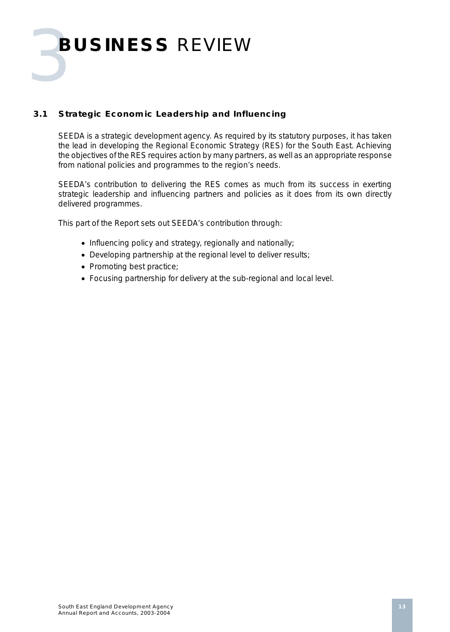

#### **3.1 Strategic Economic Leadership and Influencing**

SEEDA is a strategic development agency. As required by its statutory purposes, it has taken the lead in developing the Regional Economic Strategy (RES) for the South East. Achieving the objectives of the RES requires action by many partners, as well as an appropriate response from national policies and programmes to the region's needs.

SEEDA's contribution to delivering the RES comes as much from its success in exerting strategic leadership and influencing partners and policies as it does from its own directly delivered programmes.

This part of the Report sets out SEEDA's contribution through:

- Influencing policy and strategy, regionally and nationally;
- Developing partnership at the regional level to deliver results;
- Promoting best practice;
- Focusing partnership for delivery at the sub-regional and local level.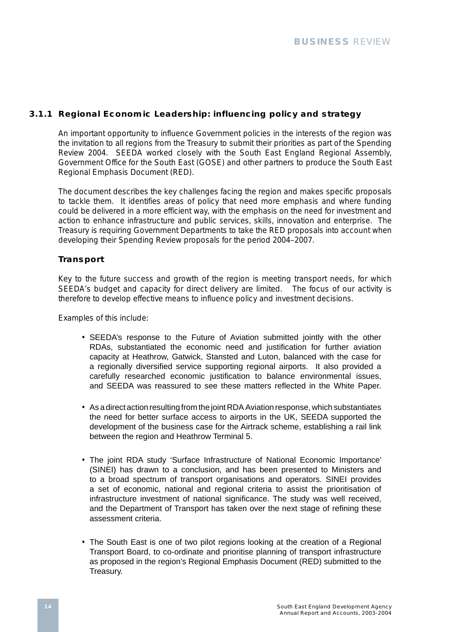#### **3.1.1 Regional Economic Leadership: influencing policy and strategy**

An important opportunity to influence Government policies in the interests of the region was the invitation to all regions from the Treasury to submit their priorities as part of the Spending Review 2004. SEEDA worked closely with the South East England Regional Assembly, Government Office for the South East (GOSE) and other partners to produce the South East Regional Emphasis Document (RED).

The document describes the key challenges facing the region and makes specific proposals to tackle them. It identifies areas of policy that need more emphasis and where funding could be delivered in a more efficient way, with the emphasis on the need for investment and action to enhance infrastructure and public services, skills, innovation and enterprise. The Treasury is requiring Government Departments to take the RED proposals into account when developing their Spending Review proposals for the period 2004–2007.

#### **Transport**

Key to the future success and growth of the region is meeting transport needs, for which SEEDA's budget and capacity for direct delivery are limited. The focus of our activity is therefore to develop effective means to influence policy and investment decisions.

Examples of this include:

- SEEDA's response to the Future of Aviation submitted jointly with the other RDAs, substantiated the economic need and justification for further aviation capacity at Heathrow, Gatwick, Stansted and Luton, balanced with the case for a regionally diversified service supporting regional airports. It also provided a carefully researched economic justification to balance environmental issues, and SEEDA was reassured to see these matters reflected in the White Paper.
- As a direct action resulting from the joint RDA Aviation response, which substantiates the need for better surface access to airports in the UK, SEEDA supported the development of the business case for the Airtrack scheme, establishing a rail link between the region and Heathrow Terminal 5.
- The joint RDA study 'Surface Infrastructure of National Economic Importance' (SINEI) has drawn to a conclusion, and has been presented to Ministers and to a broad spectrum of transport organisations and operators. SINEI provides a set of economic, national and regional criteria to assist the prioritisation of infrastructure investment of national significance. The study was well received, and the Department of Transport has taken over the next stage of refining these assessment criteria.
- The South East is one of two pilot regions looking at the creation of a Regional Transport Board, to co-ordinate and prioritise planning of transport infrastructure as proposed in the region's Regional Emphasis Document (RED) submitted to the Treasury.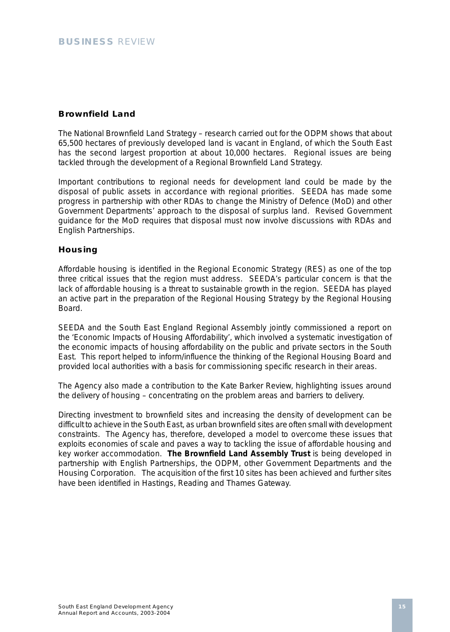#### **Brownfield Land**

The National Brownfield Land Strategy – research carried out for the ODPM shows that about 65,500 hectares of previously developed land is vacant in England, of which the South East has the second largest proportion at about 10,000 hectares. Regional issues are being tackled through the development of a Regional Brownfield Land Strategy.

Important contributions to regional needs for development land could be made by the disposal of public assets in accordance with regional priorities. SEEDA has made some progress in partnership with other RDAs to change the Ministry of Defence (MoD) and other Government Departments' approach to the disposal of surplus land. Revised Government guidance for the MoD requires that disposal must now involve discussions with RDAs and English Partnerships.

#### **Housing**

Affordable housing is identified in the Regional Economic Strategy (RES) as one of the top three critical issues that the region must address. SEEDA's particular concern is that the lack of affordable housing is a threat to sustainable growth in the region. SEEDA has played an active part in the preparation of the Regional Housing Strategy by the Regional Housing Board.

SEEDA and the South East England Regional Assembly jointly commissioned a report on the 'Economic Impacts of Housing Affordability', which involved a systematic investigation of the economic impacts of housing affordability on the public and private sectors in the South East. This report helped to inform/influence the thinking of the Regional Housing Board and provided local authorities with a basis for commissioning specific research in their areas.

The Agency also made a contribution to the Kate Barker Review, highlighting issues around the delivery of housing – concentrating on the problem areas and barriers to delivery.

Directing investment to brownfield sites and increasing the density of development can be difficult to achieve in the South East, as urban brownfield sites are often small with development constraints. The Agency has, therefore, developed a model to overcome these issues that exploits economies of scale and paves a way to tackling the issue of affordable housing and key worker accommodation. **The Brownfield Land Assembly Trust** is being developed in partnership with English Partnerships, the ODPM, other Government Departments and the Housing Corporation. The acquisition of the first 10 sites has been achieved and further sites have been identified in Hastings, Reading and Thames Gateway.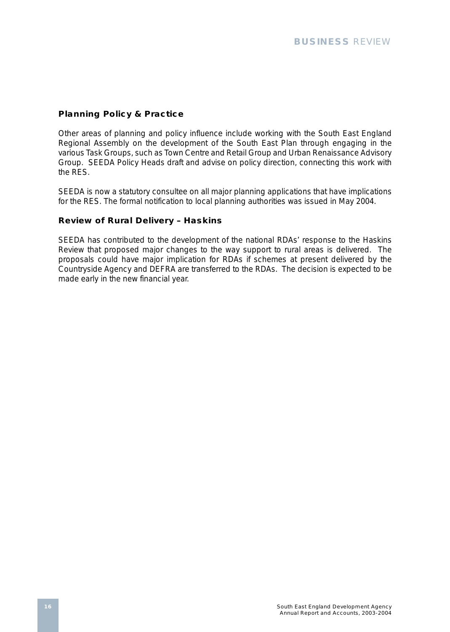#### **Planning Policy & Practice**

Other areas of planning and policy influence include working with the South East England Regional Assembly on the development of the South East Plan through engaging in the various Task Groups, such as Town Centre and Retail Group and Urban Renaissance Advisory Group. SEEDA Policy Heads draft and advise on policy direction, connecting this work with the RES.

SEEDA is now a statutory consultee on all major planning applications that have implications for the RES. The formal notification to local planning authorities was issued in May 2004.

#### **Review of Rural Delivery – Haskins**

SEEDA has contributed to the development of the national RDAs' response to the Haskins Review that proposed major changes to the way support to rural areas is delivered. The proposals could have major implication for RDAs if schemes at present delivered by the Countryside Agency and DEFRA are transferred to the RDAs. The decision is expected to be made early in the new financial year.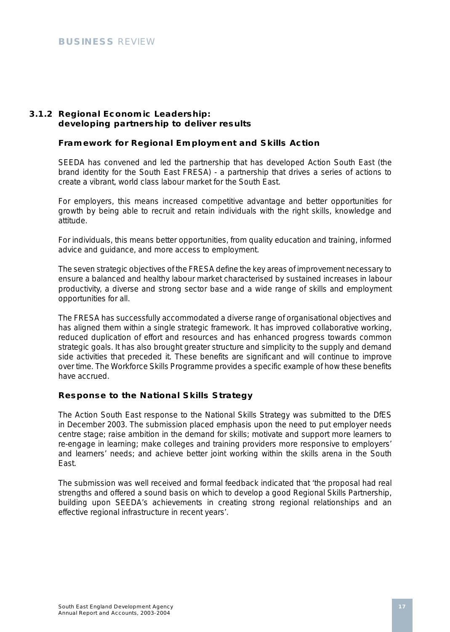#### **3.1.2 Regional Economic Leadership: developing partnership to deliver results**

#### **Framework for Regional Employment and Skills Action**

SEEDA has convened and led the partnership that has developed Action South East (the brand identity for the South East FRESA) - a partnership that drives a series of actions to create a vibrant, world class labour market for the South East.

For employers, this means increased competitive advantage and better opportunities for growth by being able to recruit and retain individuals with the right skills, knowledge and attitude.

For individuals, this means better opportunities, from quality education and training, informed advice and guidance, and more access to employment.

The seven strategic objectives of the FRESA define the key areas of improvement necessary to ensure a balanced and healthy labour market characterised by sustained increases in labour productivity, a diverse and strong sector base and a wide range of skills and employment opportunities for all.

The FRESA has successfully accommodated a diverse range of organisational objectives and has aligned them within a single strategic framework. It has improved collaborative working, reduced duplication of effort and resources and has enhanced progress towards common strategic goals. It has also brought greater structure and simplicity to the supply and demand side activities that preceded it. These benefits are significant and will continue to improve over time. The Workforce Skills Programme provides a specific example of how these benefits have accrued.

#### **Response to the National Skills Strategy**

The Action South East response to the National Skills Strategy was submitted to the DfES in December 2003. The submission placed emphasis upon the need to put employer needs centre stage; raise ambition in the demand for skills; motivate and support more learners to re-engage in learning; make colleges and training providers more responsive to employers' and learners' needs; and achieve better joint working within the skills arena in the South East.

The submission was well received and formal feedback indicated that 'the proposal had real strengths and offered a sound basis on which to develop a good Regional Skills Partnership, building upon SEEDA's achievements in creating strong regional relationships and an effective regional infrastructure in recent years'.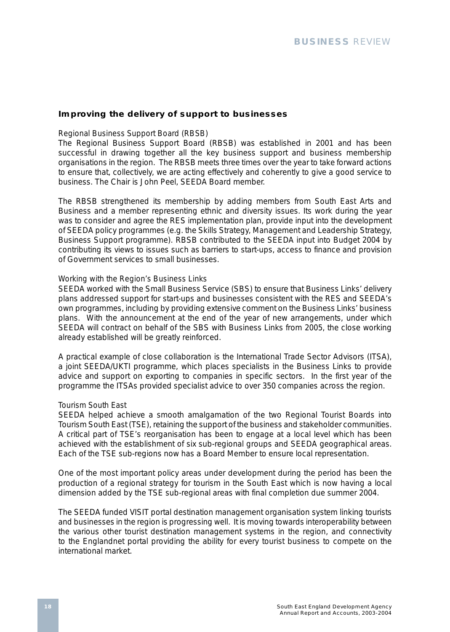#### **Improving the delivery of support to businesses**

#### *Regional Business Support Board (RBSB)*

The Regional Business Support Board (RBSB) was established in 2001 and has been successful in drawing together all the key business support and business membership organisations in the region. The RBSB meets three times over the year to take forward actions to ensure that, collectively, we are acting effectively and coherently to give a good service to business. The Chair is John Peel, SEEDA Board member.

The RBSB strengthened its membership by adding members from South East Arts and Business and a member representing ethnic and diversity issues. Its work during the year was to consider and agree the RES implementation plan, provide input into the development of SEEDA policy programmes (e.g. the Skills Strategy, Management and Leadership Strategy, Business Support programme). RBSB contributed to the SEEDA input into Budget 2004 by contributing its views to issues such as barriers to start-ups, access to finance and provision of Government services to small businesses.

#### *Working with the Region's Business Links*

SEEDA worked with the Small Business Service (SBS) to ensure that Business Links' delivery plans addressed support for start-ups and businesses consistent with the RES and SEEDA's own programmes, including by providing extensive comment on the Business Links' business plans. With the announcement at the end of the year of new arrangements, under which SEEDA will contract on behalf of the SBS with Business Links from 2005, the close working already established will be greatly reinforced.

A practical example of close collaboration is the International Trade Sector Advisors (ITSA), a joint SEEDA/UKTI programme, which places specialists in the Business Links to provide advice and support on exporting to companies in specific sectors. In the first year of the programme the ITSAs provided specialist advice to over 350 companies across the region.

#### *Tourism South East*

SEEDA helped achieve a smooth amalgamation of the two Regional Tourist Boards into Tourism South East (TSE), retaining the support of the business and stakeholder communities. A critical part of TSE's reorganisation has been to engage at a local level which has been achieved with the establishment of six sub-regional groups and SEEDA geographical areas. Each of the TSE sub-regions now has a Board Member to ensure local representation.

One of the most important policy areas under development during the period has been the production of a regional strategy for tourism in the South East which is now having a local dimension added by the TSE sub-regional areas with final completion due summer 2004.

The SEEDA funded VISIT portal destination management organisation system linking tourists and businesses in the region is progressing well. It is moving towards interoperability between the various other tourist destination management systems in the region, and connectivity to the Englandnet portal providing the ability for every tourist business to compete on the international market.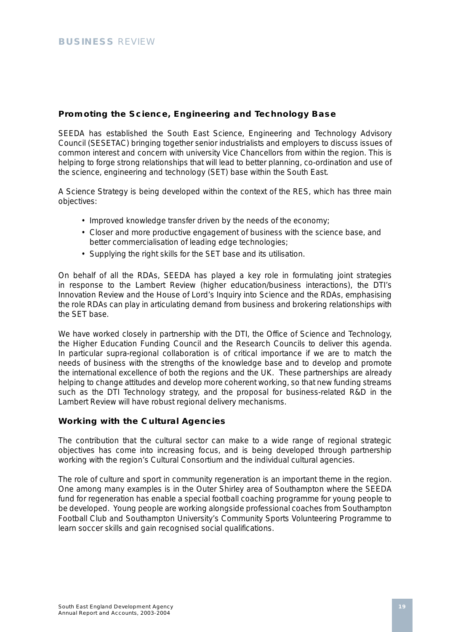#### **Promoting the Science, Engineering and Technology Base**

SEEDA has established the South East Science, Engineering and Technology Advisory Council (SESETAC) bringing together senior industrialists and employers to discuss issues of common interest and concern with university Vice Chancellors from within the region. This is helping to forge strong relationships that will lead to better planning, co-ordination and use of the science, engineering and technology (SET) base within the South East.

A Science Strategy is being developed within the context of the RES, which has three main objectives:

- Improved knowledge transfer driven by the needs of the economy:
- Closer and more productive engagement of business with the science base, and better commercialisation of leading edge technologies;
- Supplying the right skills for the SET base and its utilisation.

On behalf of all the RDAs, SEEDA has played a key role in formulating joint strategies in response to the Lambert Review (higher education/business interactions), the DTI's Innovation Review and the House of Lord's Inquiry into Science and the RDAs, emphasising the role RDAs can play in articulating demand from business and brokering relationships with the SET base.

We have worked closely in partnership with the DTI, the Office of Science and Technology, the Higher Education Funding Council and the Research Councils to deliver this agenda. In particular supra-regional collaboration is of critical importance if we are to match the needs of business with the strengths of the knowledge base and to develop and promote the international excellence of both the regions and the UK. These partnerships are already helping to change attitudes and develop more coherent working, so that new funding streams such as the DTI Technology strategy, and the proposal for business-related R&D in the Lambert Review will have robust regional delivery mechanisms.

#### **Working with the Cultural Agencies**

The contribution that the cultural sector can make to a wide range of regional strategic objectives has come into increasing focus, and is being developed through partnership working with the region's Cultural Consortium and the individual cultural agencies.

The role of culture and sport in community regeneration is an important theme in the region. One among many examples is in the Outer Shirley area of Southampton where the SEEDA fund for regeneration has enable a special football coaching programme for young people to be developed. Young people are working alongside professional coaches from Southampton Football Club and Southampton University's Community Sports Volunteering Programme to learn soccer skills and gain recognised social qualifications.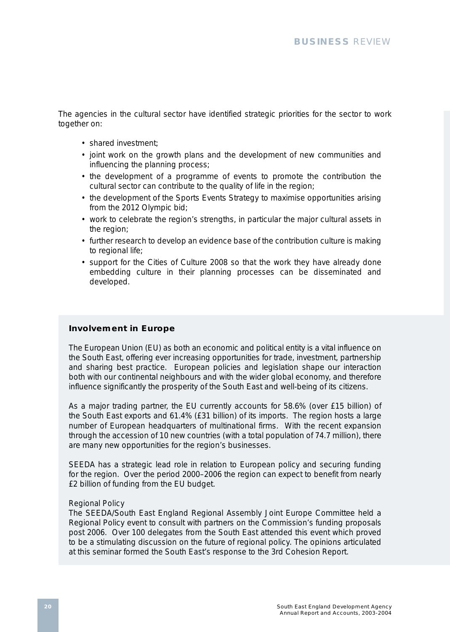The agencies in the cultural sector have identified strategic priorities for the sector to work together on:

- shared investment:
- joint work on the growth plans and the development of new communities and influencing the planning process;
- the development of a programme of events to promote the contribution the cultural sector can contribute to the quality of life in the region;
- the development of the Sports Events Strategy to maximise opportunities arising from the 2012 Olympic bid;
- work to celebrate the region's strengths, in particular the major cultural assets in the region;
- further research to develop an evidence base of the contribution culture is making to regional life;
- support for the Cities of Culture 2008 so that the work they have already done embedding culture in their planning processes can be disseminated and developed.

#### **Involvement in Europe**

The European Union (EU) as both an economic and political entity is a vital influence on the South East, offering ever increasing opportunities for trade, investment, partnership and sharing best practice. European policies and legislation shape our interaction both with our continental neighbours and with the wider global economy, and therefore influence significantly the prosperity of the South East and well-being of its citizens.

As a major trading partner, the EU currently accounts for 58.6% (over £15 billion) of the South East exports and 61.4% (£31 billion) of its imports. The region hosts a large number of European headquarters of multinational firms. With the recent expansion through the accession of 10 new countries (with a total population of 74.7 million), there are many new opportunities for the region's businesses.

SEEDA has a strategic lead role in relation to European policy and securing funding for the region. Over the period 2000–2006 the region can expect to benefit from nearly £2 billion of funding from the EU budget.

#### *Regional Policy*

The SEEDA/South East England Regional Assembly Joint Europe Committee held a Regional Policy event to consult with partners on the Commission's funding proposals post 2006. Over 100 delegates from the South East attended this event which proved to be a stimulating discussion on the future of regional policy. The opinions articulated at this seminar formed the South East's response to the 3rd Cohesion Report.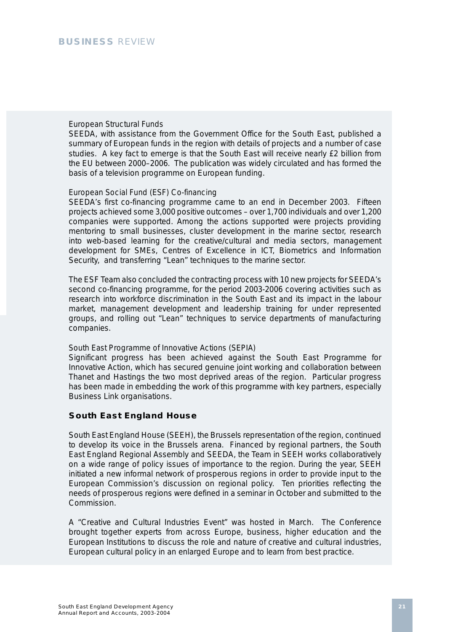#### *European Structural Funds*

SEEDA, with assistance from the Government Office for the South East, published a summary of European funds in the region with details of projects and a number of case studies. A key fact to emerge is that the South East will receive nearly £2 billion from the EU between 2000–2006. The publication was widely circulated and has formed the basis of a television programme on European funding.

#### *European Social Fund (ESF) Co-financing*

SEEDA's first co-financing programme came to an end in December 2003. Fifteen projects achieved some 3,000 positive outcomes – over 1,700 individuals and over 1,200 companies were supported. Among the actions supported were projects providing mentoring to small businesses, cluster development in the marine sector, research into web-based learning for the creative/cultural and media sectors, management development for SMEs, Centres of Excellence in ICT, Biometrics and Information Security, and transferring "Lean" techniques to the marine sector.

The ESF Team also concluded the contracting process with 10 new projects for SEEDA's second co-financing programme, for the period 2003-2006 covering activities such as research into workforce discrimination in the South East and its impact in the labour market, management development and leadership training for under represented groups, and rolling out "Lean" techniques to service departments of manufacturing companies.

#### *South East Programme of Innovative Actions (SEPIA)*

Significant progress has been achieved against the South East Programme for Innovative Action, which has secured genuine joint working and collaboration between Thanet and Hastings the two most deprived areas of the region. Particular progress has been made in embedding the work of this programme with key partners, especially Business Link organisations.

#### **South East England House**

South East England House (SEEH), the Brussels representation of the region, continued to develop its voice in the Brussels arena. Financed by regional partners, the South East England Regional Assembly and SEEDA, the Team in SEEH works collaboratively on a wide range of policy issues of importance to the region. During the year, SEEH initiated a new informal network of prosperous regions in order to provide input to the European Commission's discussion on regional policy. Ten priorities reflecting the needs of prosperous regions were defined in a seminar in October and submitted to the Commission.

A "Creative and Cultural Industries Event" was hosted in March. The Conference brought together experts from across Europe, business, higher education and the European Institutions to discuss the role and nature of creative and cultural industries, European cultural policy in an enlarged Europe and to learn from best practice.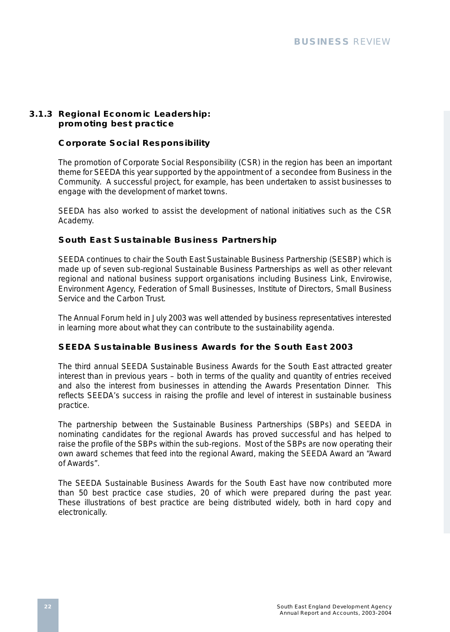#### **3.1.3 Regional Economic Leadership: promoting best practice**

#### **Corporate Social Responsibility**

The promotion of Corporate Social Responsibility (CSR) in the region has been an important theme for SEEDA this year supported by the appointment of a secondee from Business in the Community. A successful project, for example, has been undertaken to assist businesses to engage with the development of market towns.

SEEDA has also worked to assist the development of national initiatives such as the CSR Academy.

#### **South East Sustainable Business Partnership**

SEEDA continues to chair the South East Sustainable Business Partnership (SESBP) which is made up of seven sub-regional Sustainable Business Partnerships as well as other relevant regional and national business support organisations including Business Link, Envirowise, Environment Agency, Federation of Small Businesses, Institute of Directors, Small Business Service and the Carbon Trust.

The Annual Forum held in July 2003 was well attended by business representatives interested in learning more about what they can contribute to the sustainability agenda.

#### **SEEDA Sustainable Business Awards for the South East 2003**

The third annual SEEDA Sustainable Business Awards for the South East attracted greater interest than in previous years – both in terms of the quality and quantity of entries received and also the interest from businesses in attending the Awards Presentation Dinner. This reflects SEEDA's success in raising the profile and level of interest in sustainable business practice.

The partnership between the Sustainable Business Partnerships (SBPs) and SEEDA in nominating candidates for the regional Awards has proved successful and has helped to raise the profile of the SBPs within the sub-regions. Most of the SBPs are now operating their own award schemes that feed into the regional Award, making the SEEDA Award an "Award of Awards".

The SEEDA Sustainable Business Awards for the South East have now contributed more than 50 best practice case studies, 20 of which were prepared during the past year. These illustrations of best practice are being distributed widely, both in hard copy and electronically.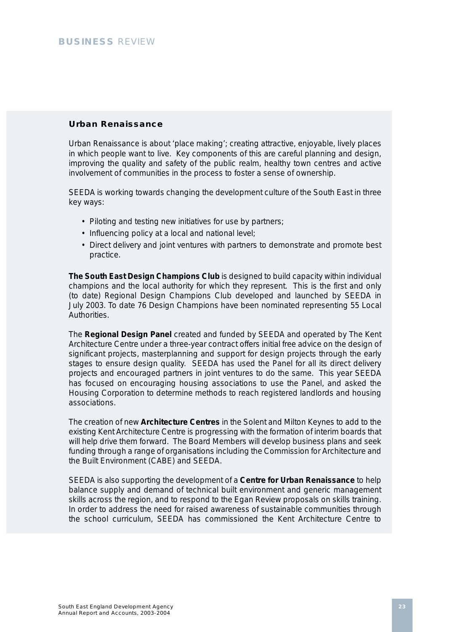#### **Urban Renaissance**

Urban Renaissance is about 'place making'; creating attractive, enjoyable, lively places in which people want to live. Key components of this are careful planning and design, improving the quality and safety of the public realm, healthy town centres and active involvement of communities in the process to foster a sense of ownership.

SEEDA is working towards changing the development culture of the South East in three key ways:

- Piloting and testing new initiatives for use by partners;
- Influencing policy at a local and national level;
- Direct delivery and joint ventures with partners to demonstrate and promote best practice.

**The South East Design Champions Club** is designed to build capacity within individual champions and the local authority for which they represent. This is the first and only (to date) Regional Design Champions Club developed and launched by SEEDA in July 2003. To date 76 Design Champions have been nominated representing 55 Local Authorities.

The **Regional Design Panel** created and funded by SEEDA and operated by The Kent Architecture Centre under a three-year contract offers initial free advice on the design of significant projects, masterplanning and support for design projects through the early stages to ensure design quality. SEEDA has used the Panel for all its direct delivery projects and encouraged partners in joint ventures to do the same. This year SEEDA has focused on encouraging housing associations to use the Panel, and asked the Housing Corporation to determine methods to reach registered landlords and housing associations.

The creation of new **Architecture Centres** in the Solent and Milton Keynes to add to the existing Kent Architecture Centre is progressing with the formation of interim boards that will help drive them forward. The Board Members will develop business plans and seek funding through a range of organisations including the Commission for Architecture and the Built Environment (CABE) and SEEDA.

SEEDA is also supporting the development of a **Centre for Urban Renaissance** to help balance supply and demand of technical built environment and generic management skills across the region, and to respond to the Egan Review proposals on skills training. In order to address the need for raised awareness of sustainable communities through the school curriculum, SEEDA has commissioned the Kent Architecture Centre to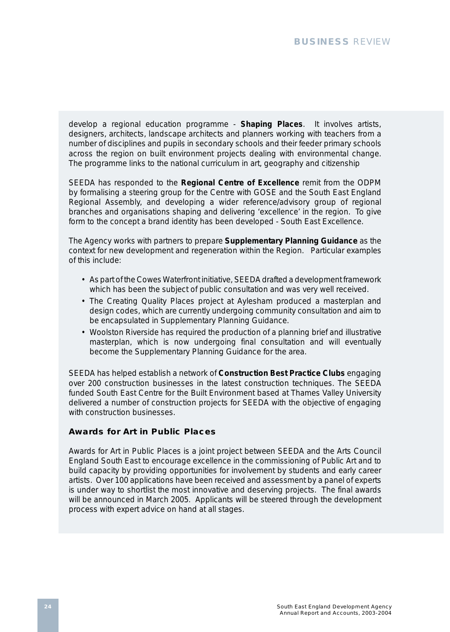develop a regional education programme - **Shaping Places**. It involves artists, designers, architects, landscape architects and planners working with teachers from a number of disciplines and pupils in secondary schools and their feeder primary schools across the region on built environment projects dealing with environmental change. The programme links to the national curriculum in art, geography and citizenship

SEEDA has responded to the **Regional Centre of Excellence** remit from the ODPM by formalising a steering group for the Centre with GOSE and the South East England Regional Assembly, and developing a wider reference/advisory group of regional branches and organisations shaping and delivering 'excellence' in the region. To give form to the concept a brand identity has been developed - South East Excellence.

The Agency works with partners to prepare **Supplementary Planning Guidance** as the context for new development and regeneration within the Region. Particular examples of this include:

- As part of the Cowes Waterfront initiative, SEEDA drafted a development framework which has been the subject of public consultation and was very well received.
- The Creating Quality Places project at Aylesham produced a masterplan and design codes, which are currently undergoing community consultation and aim to be encapsulated in Supplementary Planning Guidance.
- Woolston Riverside has required the production of a planning brief and illustrative masterplan, which is now undergoing final consultation and will eventually become the Supplementary Planning Guidance for the area.

SEEDA has helped establish a network of **Construction Best Practice Clubs** engaging over 200 construction businesses in the latest construction techniques. The SEEDA funded South East Centre for the Built Environment based at Thames Valley University delivered a number of construction projects for SEEDA with the objective of engaging with construction businesses.

#### **Awards for Art in Public Places**

Awards for Art in Public Places is a joint project between SEEDA and the Arts Council England South East to encourage excellence in the commissioning of Public Art and to build capacity by providing opportunities for involvement by students and early career artists. Over 100 applications have been received and assessment by a panel of experts is under way to shortlist the most innovative and deserving projects. The final awards will be announced in March 2005. Applicants will be steered through the development process with expert advice on hand at all stages.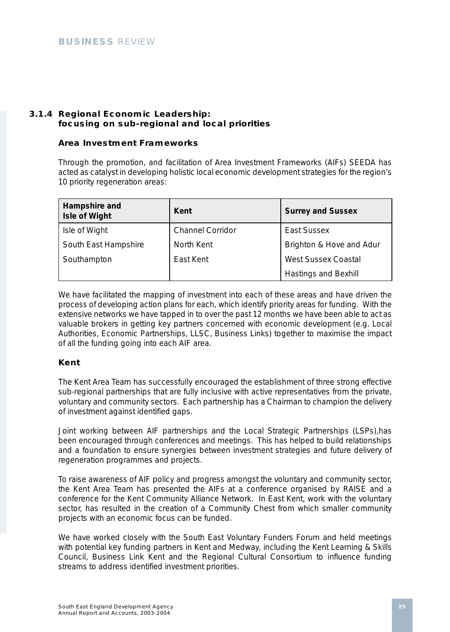#### **3.1.4 Regional Economic Leadership: focusing on sub-regional and local priorities**

#### **Area Investment Frameworks**

Through the promotion, and facilitation of Area Investment Frameworks (AIFs) SEEDA has acted as catalyst in developing holistic local economic development strategies for the region's 10 priority regeneration areas:

| Hampshire and<br>Isle of Wight | Kent                    | <b>Surrey and Sussex</b>    |
|--------------------------------|-------------------------|-----------------------------|
| Isle of Wight                  | <b>Channel Corridor</b> | <b>East Sussex</b>          |
| South East Hampshire           | North Kent              | Brighton & Hove and Adur    |
| Southampton                    | East Kent               | <b>West Sussex Coastal</b>  |
|                                |                         | <b>Hastings and Bexhill</b> |

We have facilitated the mapping of investment into each of these areas and have driven the process of developing action plans for each, which identify priority areas for funding. With the extensive networks we have tapped in to over the past 12 months we have been able to act as valuable brokers in getting key partners concerned with economic development (e.g. Local Authorities, Economic Partnerships, LLSC, Business Links) together to maximise the impact of all the funding going into each AIF area.

#### **Kent**

The Kent Area Team has successfully encouraged the establishment of three strong effective sub-regional partnerships that are fully inclusive with active representatives from the private, voluntary and community sectors. Each partnership has a Chairman to champion the delivery of investment against identified gaps.

Joint working between AIF partnerships and the Local Strategic Partnerships (LSPs),has been encouraged through conferences and meetings. This has helped to build relationships and a foundation to ensure synergies between investment strategies and future delivery of regeneration programmes and projects.

To raise awareness of AIF policy and progress amongst the voluntary and community sector, the Kent Area Team has presented the AIFs at a conference organised by RAISE and a conference for the Kent Community Alliance Network. In East Kent, work with the voluntary sector, has resulted in the creation of a Community Chest from which smaller community projects with an economic focus can be funded.

We have worked closely with the South East Voluntary Funders Forum and held meetings with potential key funding partners in Kent and Medway, including the Kent Learning & Skills Council, Business Link Kent and the Regional Cultural Consortium to influence funding streams to address identified investment priorities.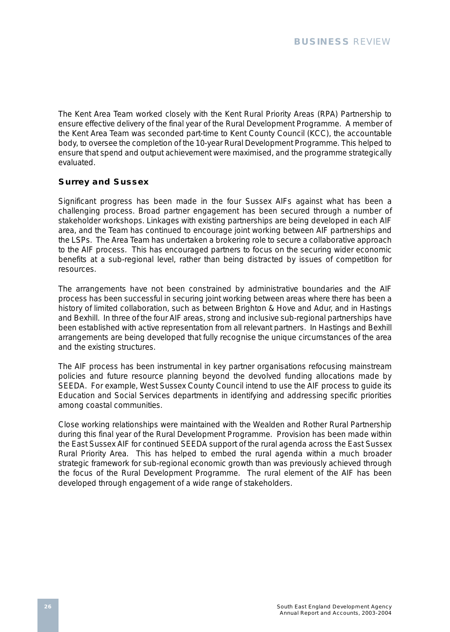The Kent Area Team worked closely with the Kent Rural Priority Areas (RPA) Partnership to ensure effective delivery of the final year of the Rural Development Programme. A member of the Kent Area Team was seconded part-time to Kent County Council (KCC), the accountable body, to oversee the completion of the 10-year Rural Development Programme. This helped to ensure that spend and output achievement were maximised, and the programme strategically evaluated.

#### **Surrey and Sussex**

Significant progress has been made in the four Sussex AIFs against what has been a challenging process. Broad partner engagement has been secured through a number of stakeholder workshops. Linkages with existing partnerships are being developed in each AIF area, and the Team has continued to encourage joint working between AIF partnerships and the LSPs. The Area Team has undertaken a brokering role to secure a collaborative approach to the AIF process. This has encouraged partners to focus on the securing wider economic benefits at a sub-regional level, rather than being distracted by issues of competition for resources.

The arrangements have not been constrained by administrative boundaries and the AIF process has been successful in securing joint working between areas where there has been a history of limited collaboration, such as between Brighton & Hove and Adur, and in Hastings and Bexhill. In three of the four AIF areas, strong and inclusive sub-regional partnerships have been established with active representation from all relevant partners. In Hastings and Bexhill arrangements are being developed that fully recognise the unique circumstances of the area and the existing structures.

The AIF process has been instrumental in key partner organisations refocusing mainstream policies and future resource planning beyond the devolved funding allocations made by SEEDA. For example, West Sussex County Council intend to use the AIF process to guide its Education and Social Services departments in identifying and addressing specific priorities among coastal communities.

Close working relationships were maintained with the Wealden and Rother Rural Partnership during this final year of the Rural Development Programme. Provision has been made within the East Sussex AIF for continued SEEDA support of the rural agenda across the East Sussex Rural Priority Area. This has helped to embed the rural agenda within a much broader strategic framework for sub-regional economic growth than was previously achieved through the focus of the Rural Development Programme. The rural element of the AIF has been developed through engagement of a wide range of stakeholders.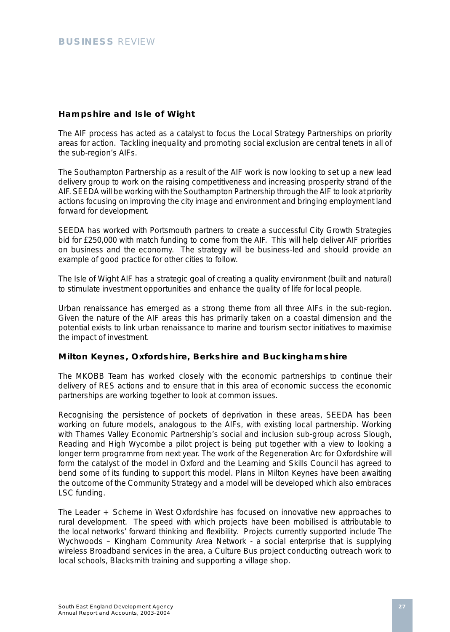#### **Hampshire and Isle of Wight**

The AIF process has acted as a catalyst to focus the Local Strategy Partnerships on priority areas for action. Tackling inequality and promoting social exclusion are central tenets in all of the sub-region's AIFs.

The Southampton Partnership as a result of the AIF work is now looking to set up a new lead delivery group to work on the raising competitiveness and increasing prosperity strand of the AIF. SEEDA will be working with the Southampton Partnership through the AIF to look at priority actions focusing on improving the city image and environment and bringing employment land forward for development.

SEEDA has worked with Portsmouth partners to create a successful City Growth Strategies bid for £250,000 with match funding to come from the AIF. This will help deliver AIF priorities on business and the economy. The strategy will be business-led and should provide an example of good practice for other cities to follow.

The Isle of Wight AIF has a strategic goal of creating a quality environment (built and natural) to stimulate investment opportunities and enhance the quality of life for local people.

Urban renaissance has emerged as a strong theme from all three AIFs in the sub-region. Given the nature of the AIF areas this has primarily taken on a coastal dimension and the potential exists to link urban renaissance to marine and tourism sector initiatives to maximise the impact of investment.

#### **Milton Keynes, Oxfordshire, Berkshire and Buckinghamshire**

The MKOBB Team has worked closely with the economic partnerships to continue their delivery of RES actions and to ensure that in this area of economic success the economic partnerships are working together to look at common issues.

Recognising the persistence of pockets of deprivation in these areas, SEEDA has been working on future models, analogous to the AIFs, with existing local partnership. Working with Thames Valley Economic Partnership's social and inclusion sub-group across Slough, Reading and High Wycombe a pilot project is being put together with a view to looking a longer term programme from next year. The work of the Regeneration Arc for Oxfordshire will form the catalyst of the model in Oxford and the Learning and Skills Council has agreed to bend some of its funding to support this model. Plans in Milton Keynes have been awaiting the outcome of the Community Strategy and a model will be developed which also embraces LSC funding.

The Leader + Scheme in West Oxfordshire has focused on innovative new approaches to rural development. The speed with which projects have been mobilised is attributable to the local networks' forward thinking and flexibility. Projects currently supported include The Wychwoods – Kingham Community Area Network - a social enterprise that is supplying wireless Broadband services in the area, a Culture Bus project conducting outreach work to local schools, Blacksmith training and supporting a village shop.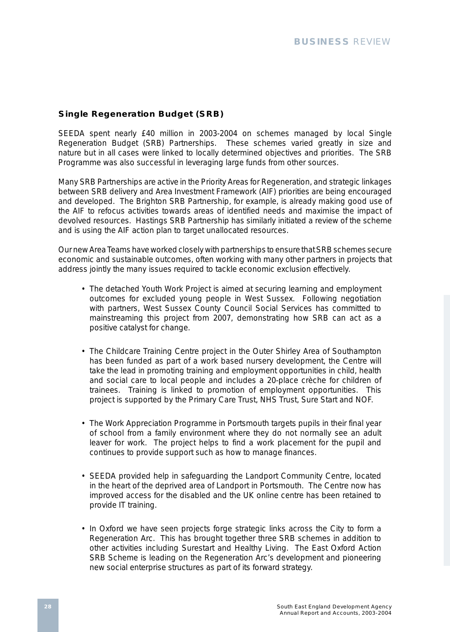#### **Single Regeneration Budget (SRB)**

SEEDA spent nearly £40 million in 2003-2004 on schemes managed by local Single Regeneration Budget (SRB) Partnerships. These schemes varied greatly in size and nature but in all cases were linked to locally determined objectives and priorities. The SRB Programme was also successful in leveraging large funds from other sources.

Many SRB Partnerships are active in the Priority Areas for Regeneration, and strategic linkages between SRB delivery and Area Investment Framework (AIF) priorities are being encouraged and developed. The Brighton SRB Partnership, for example, is already making good use of the AIF to refocus activities towards areas of identified needs and maximise the impact of devolved resources. Hastings SRB Partnership has similarly initiated a review of the scheme and is using the AIF action plan to target unallocated resources.

Our new Area Teams have worked closely with partnerships to ensure that SRB schemes secure economic and sustainable outcomes, often working with many other partners in projects that address jointly the many issues required to tackle economic exclusion effectively.

- The detached Youth Work Project is aimed at securing learning and employment outcomes for excluded young people in West Sussex. Following negotiation with partners, West Sussex County Council Social Services has committed to mainstreaming this project from 2007, demonstrating how SRB can act as a positive catalyst for change.
- The Childcare Training Centre project in the Outer Shirley Area of Southampton has been funded as part of a work based nursery development, the Centre will take the lead in promoting training and employment opportunities in child, health and social care to local people and includes a 20-place crèche for children of trainees. Training is linked to promotion of employment opportunities. This project is supported by the Primary Care Trust, NHS Trust, Sure Start and NOF.
- The Work Appreciation Programme in Portsmouth targets pupils in their final year of school from a family environment where they do not normally see an adult leaver for work. The project helps to find a work placement for the pupil and continues to provide support such as how to manage finances.
- SEEDA provided help in safeguarding the Landport Community Centre, located in the heart of the deprived area of Landport in Portsmouth. The Centre now has improved access for the disabled and the UK online centre has been retained to provide IT training.
- In Oxford we have seen projects forge strategic links across the City to form a Regeneration Arc. This has brought together three SRB schemes in addition to other activities including Surestart and Healthy Living. The East Oxford Action SRB Scheme is leading on the Regeneration Arc's development and pioneering new social enterprise structures as part of its forward strategy.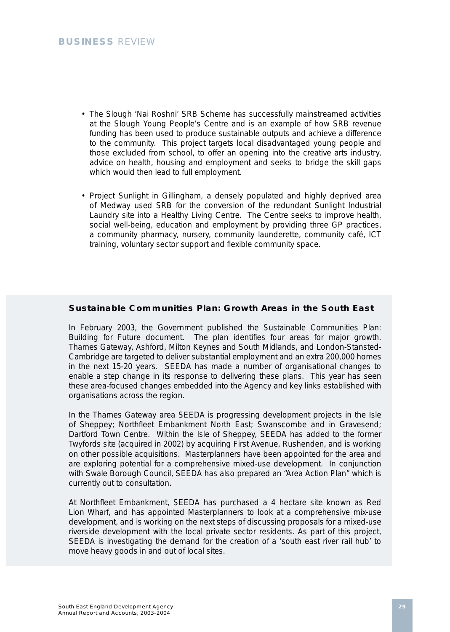- The Slough 'Nai Roshni' SRB Scheme has successfully mainstreamed activities at the Slough Young People's Centre and is an example of how SRB revenue funding has been used to produce sustainable outputs and achieve a difference to the community. This project targets local disadvantaged young people and those excluded from school, to offer an opening into the creative arts industry, advice on health, housing and employment and seeks to bridge the skill gaps which would then lead to full employment.
- Project Sunlight in Gillingham, a densely populated and highly deprived area of Medway used SRB for the conversion of the redundant Sunlight Industrial Laundry site into a Healthy Living Centre. The Centre seeks to improve health, social well-being, education and employment by providing three GP practices, a community pharmacy, nursery, community launderette, community café, ICT training, voluntary sector support and flexible community space.

#### **Sustainable Communities Plan: Growth Areas in the South East**

In February 2003, the Government published the Sustainable Communities Plan: Building for Future document. The plan identifies four areas for major growth. Thames Gateway, Ashford, Milton Keynes and South Midlands, and London-Stansted-Cambridge are targeted to deliver substantial employment and an extra 200,000 homes in the next 15-20 years. SEEDA has made a number of organisational changes to enable a step change in its response to delivering these plans. This year has seen these area-focused changes embedded into the Agency and key links established with organisations across the region.

In the Thames Gateway area SEEDA is progressing development projects in the Isle of Sheppey; Northfleet Embankment North East; Swanscombe and in Gravesend; Dartford Town Centre. Within the Isle of Sheppey, SEEDA has added to the former Twyfords site (acquired in 2002) by acquiring First Avenue, Rushenden, and is working on other possible acquisitions. Masterplanners have been appointed for the area and are exploring potential for a comprehensive mixed-use development. In conjunction with Swale Borough Council, SEEDA has also prepared an "Area Action Plan" which is currently out to consultation.

At Northfleet Embankment, SEEDA has purchased a 4 hectare site known as Red Lion Wharf, and has appointed Masterplanners to look at a comprehensive mix-use development, and is working on the next steps of discussing proposals for a mixed-use riverside development with the local private sector residents. As part of this project, SEEDA is investigating the demand for the creation of a 'south east river rail hub' to move heavy goods in and out of local sites.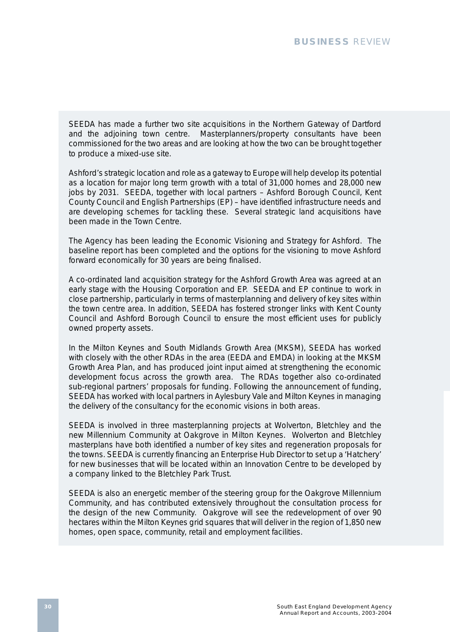SEEDA has made a further two site acquisitions in the Northern Gateway of Dartford and the adjoining town centre. Masterplanners/property consultants have been commissioned for the two areas and are looking at how the two can be brought together to produce a mixed-use site.

Ashford's strategic location and role as a gateway to Europe will help develop its potential as a location for major long term growth with a total of 31,000 homes and 28,000 new jobs by 2031. SEEDA, together with local partners – Ashford Borough Council, Kent County Council and English Partnerships (EP) – have identified infrastructure needs and are developing schemes for tackling these. Several strategic land acquisitions have been made in the Town Centre.

The Agency has been leading the Economic Visioning and Strategy for Ashford. The baseline report has been completed and the options for the visioning to move Ashford forward economically for 30 years are being finalised.

A co-ordinated land acquisition strategy for the Ashford Growth Area was agreed at an early stage with the Housing Corporation and EP. SEEDA and EP continue to work in close partnership, particularly in terms of masterplanning and delivery of key sites within the town centre area. In addition, SEEDA has fostered stronger links with Kent County Council and Ashford Borough Council to ensure the most efficient uses for publicly owned property assets.

In the Milton Keynes and South Midlands Growth Area (MKSM), SEEDA has worked with closely with the other RDAs in the area (EEDA and EMDA) in looking at the MKSM Growth Area Plan, and has produced joint input aimed at strengthening the economic development focus across the growth area. The RDAs together also co-ordinated sub-regional partners' proposals for funding. Following the announcement of funding, SEEDA has worked with local partners in Aylesbury Vale and Milton Keynes in managing the delivery of the consultancy for the economic visions in both areas.

SEEDA is involved in three masterplanning projects at Wolverton, Bletchley and the new Millennium Community at Oakgrove in Milton Keynes. Wolverton and Bletchley masterplans have both identified a number of key sites and regeneration proposals for the towns. SEEDA is currently financing an Enterprise Hub Director to set up a 'Hatchery' for new businesses that will be located within an Innovation Centre to be developed by a company linked to the Bletchley Park Trust.

SEEDA is also an energetic member of the steering group for the Oakgrove Millennium Community, and has contributed extensively throughout the consultation process for the design of the new Community. Oakgrove will see the redevelopment of over 90 hectares within the Milton Keynes grid squares that will deliver in the region of 1,850 new homes, open space, community, retail and employment facilities.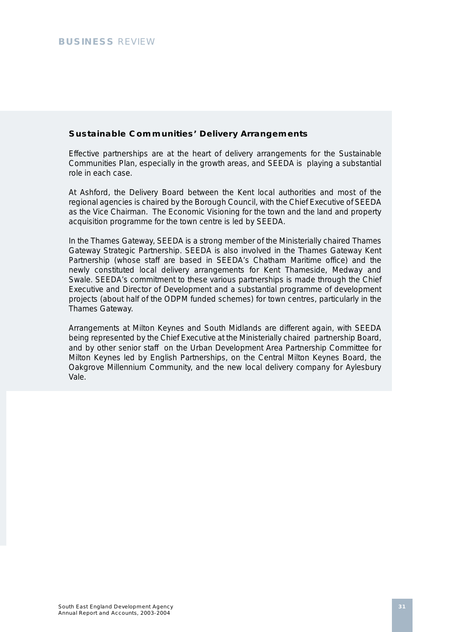#### **Sustainable Communities' Delivery Arrangements**

Effective partnerships are at the heart of delivery arrangements for the Sustainable Communities Plan, especially in the growth areas, and SEEDA is playing a substantial role in each case.

At Ashford, the Delivery Board between the Kent local authorities and most of the regional agencies is chaired by the Borough Council, with the Chief Executive of SEEDA as the Vice Chairman. The Economic Visioning for the town and the land and property acquisition programme for the town centre is led by SEEDA.

In the Thames Gateway, SEEDA is a strong member of the Ministerially chaired Thames Gateway Strategic Partnership. SEEDA is also involved in the Thames Gateway Kent Partnership (whose staff are based in SEEDA's Chatham Maritime office) and the newly constituted local delivery arrangements for Kent Thameside, Medway and Swale. SEEDA's commitment to these various partnerships is made through the Chief Executive and Director of Development and a substantial programme of development projects (about half of the ODPM funded schemes) for town centres, particularly in the Thames Gateway.

Arrangements at Milton Keynes and South Midlands are different again, with SEEDA being represented by the Chief Executive at the Ministerially chaired partnership Board, and by other senior staff on the Urban Development Area Partnership Committee for Milton Keynes led by English Partnerships, on the Central Milton Keynes Board, the Oakgrove Millennium Community, and the new local delivery company for Aylesbury Vale.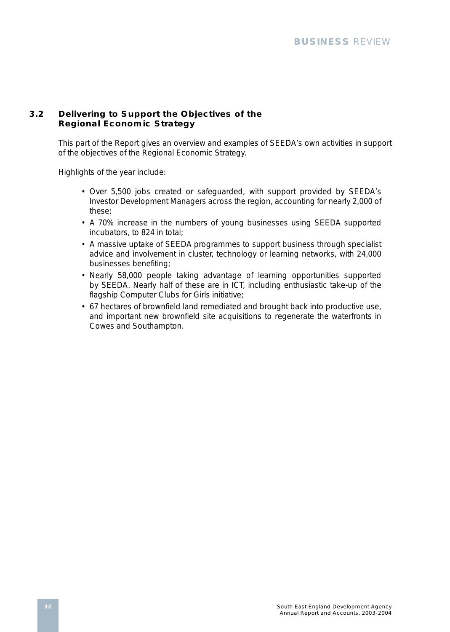#### **3.2 Delivering to Support the Objectives of the Regional Economic Strategy**

This part of the Report gives an overview and examples of SEEDA's own activities in support of the objectives of the Regional Economic Strategy.

Highlights of the year include:

- Over 5,500 jobs created or safeguarded, with support provided by SEEDA's Investor Development Managers across the region, accounting for nearly 2,000 of these;
- A 70% increase in the numbers of young businesses using SEEDA supported incubators, to 824 in total;
- A massive uptake of SEEDA programmes to support business through specialist advice and involvement in cluster, technology or learning networks, with 24,000 businesses benefiting;
- Nearly 58,000 people taking advantage of learning opportunities supported by SEEDA. Nearly half of these are in ICT, including enthusiastic take-up of the flagship Computer Clubs for Girls initiative;
- 67 hectares of brownfield land remediated and brought back into productive use, and important new brownfield site acquisitions to regenerate the waterfronts in Cowes and Southampton.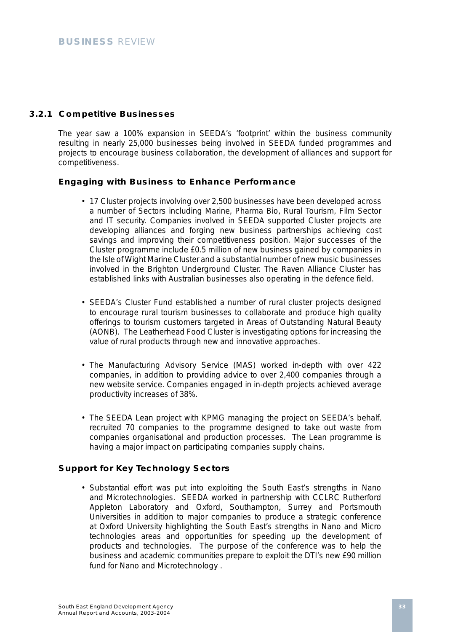#### **3.2.1 Competitive Businesses**

The year saw a 100% expansion in SEEDA's 'footprint' within the business community resulting in nearly 25,000 businesses being involved in SEEDA funded programmes and projects to encourage business collaboration, the development of alliances and support for competitiveness.

#### **Engaging with Business to Enhance Performance**

- 17 Cluster projects involving over 2,500 businesses have been developed across a number of Sectors including Marine, Pharma Bio, Rural Tourism, Film Sector and IT security. Companies involved in SEEDA supported Cluster projects are developing alliances and forging new business partnerships achieving cost savings and improving their competitiveness position. Major successes of the Cluster programme include £0.5 million of new business gained by companies in the Isle of Wight Marine Cluster and a substantial number of new music businesses involved in the Brighton Underground Cluster. The Raven Alliance Cluster has established links with Australian businesses also operating in the defence field.
- SEEDA's Cluster Fund established a number of rural cluster projects designed to encourage rural tourism businesses to collaborate and produce high quality offerings to tourism customers targeted in Areas of Outstanding Natural Beauty (AONB). The Leatherhead Food Cluster is investigating options for increasing the value of rural products through new and innovative approaches.
- The Manufacturing Advisory Service (MAS) worked in-depth with over 422 companies, in addition to providing advice to over 2,400 companies through a new website service. Companies engaged in in-depth projects achieved average productivity increases of 38%.
- The SEEDA Lean project with KPMG managing the project on SEEDA's behalf, recruited 70 companies to the programme designed to take out waste from companies organisational and production processes. The Lean programme is having a major impact on participating companies supply chains.

#### **Support for Key Technology Sectors**

• Substantial effort was put into exploiting the South East's strengths in Nano and Microtechnologies. SEEDA worked in partnership with CCLRC Rutherford Appleton Laboratory and Oxford, Southampton, Surrey and Portsmouth Universities in addition to major companies to produce a strategic conference at Oxford University highlighting the South East's strengths in Nano and Micro technologies areas and opportunities for speeding up the development of products and technologies. The purpose of the conference was to help the business and academic communities prepare to exploit the DTI's new £90 million fund for Nano and Microtechnology .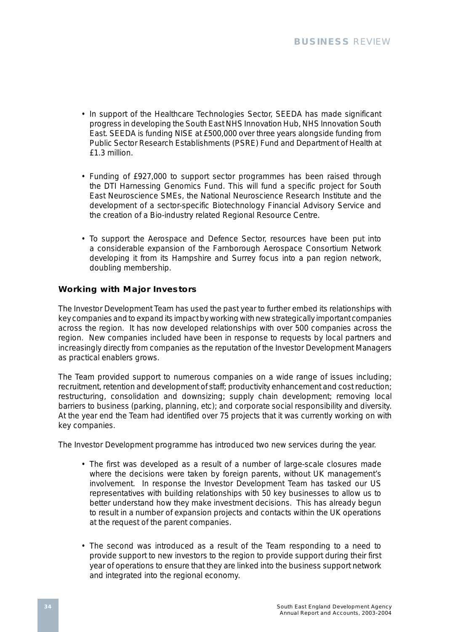- In support of the Healthcare Technologies Sector, SEEDA has made significant progress in developing the South East NHS Innovation Hub, NHS Innovation South East. SEEDA is funding NISE at £500,000 over three years alongside funding from Public Sector Research Establishments (PSRE) Fund and Department of Health at £1.3 million.
- Funding of £927,000 to support sector programmes has been raised through the DTI Harnessing Genomics Fund. This will fund a specific project for South East Neuroscience SMEs, the National Neuroscience Research Institute and the development of a sector-specific Biotechnology Financial Advisory Service and the creation of a Bio-industry related Regional Resource Centre.
- To support the Aerospace and Defence Sector, resources have been put into a considerable expansion of the Farnborough Aerospace Consortium Network developing it from its Hampshire and Surrey focus into a pan region network, doubling membership.

#### **Working with Major Investors**

The Investor Development Team has used the past year to further embed its relationships with key companies and to expand its impact by working with new strategically important companies across the region. It has now developed relationships with over 500 companies across the region. New companies included have been in response to requests by local partners and increasingly directly from companies as the reputation of the Investor Development Managers as practical enablers grows.

The Team provided support to numerous companies on a wide range of issues including; recruitment, retention and development of staff; productivity enhancement and cost reduction; restructuring, consolidation and downsizing; supply chain development; removing local barriers to business (parking, planning, etc); and corporate social responsibility and diversity. At the year end the Team had identified over 75 projects that it was currently working on with key companies.

The Investor Development programme has introduced two new services during the year.

- The first was developed as a result of a number of large-scale closures made where the decisions were taken by foreign parents, without UK management's involvement. In response the Investor Development Team has tasked our US representatives with building relationships with 50 key businesses to allow us to better understand how they make investment decisions. This has already begun to result in a number of expansion projects and contacts within the UK operations at the request of the parent companies.
- The second was introduced as a result of the Team responding to a need to provide support to new investors to the region to provide support during their first year of operations to ensure that they are linked into the business support network and integrated into the regional economy.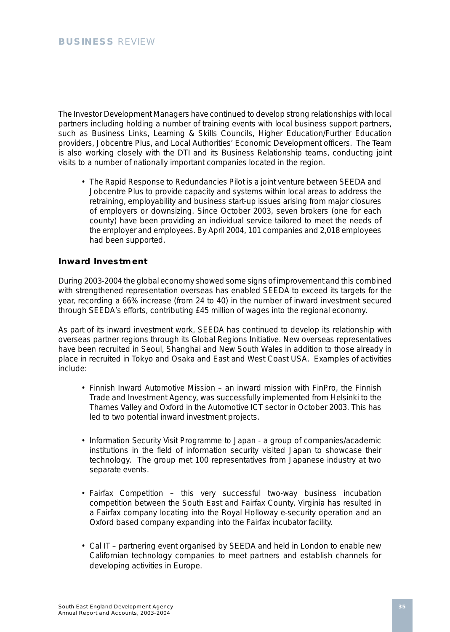The Investor Development Managers have continued to develop strong relationships with local partners including holding a number of training events with local business support partners, such as Business Links, Learning & Skills Councils, Higher Education/Further Education providers, Jobcentre Plus, and Local Authorities' Economic Development officers. The Team is also working closely with the DTI and its Business Relationship teams, conducting joint visits to a number of nationally important companies located in the region.

• The Rapid Response to Redundancies Pilot is a joint venture between SEEDA and Jobcentre Plus to provide capacity and systems within local areas to address the retraining, employability and business start-up issues arising from major closures of employers or downsizing. Since October 2003, seven brokers (one for each county) have been providing an individual service tailored to meet the needs of the employer and employees. By April 2004, 101 companies and 2,018 employees had been supported.

#### **Inward Investment**

During 2003-2004 the global economy showed some signs of improvement and this combined with strengthened representation overseas has enabled SEEDA to exceed its targets for the year, recording a 66% increase (from 24 to 40) in the number of inward investment secured through SEEDA's efforts, contributing £45 million of wages into the regional economy.

As part of its inward investment work, SEEDA has continued to develop its relationship with overseas partner regions through its Global Regions Initiative. New overseas representatives have been recruited in Seoul, Shanghai and New South Wales in addition to those already in place in recruited in Tokyo and Osaka and East and West Coast USA. Examples of activities include:

- *Finnish Inward Automotive Mission* an inward mission with FinPro, the Finnish Trade and Investment Agency, was successfully implemented from Helsinki to the Thames Valley and Oxford in the Automotive ICT sector in October 2003. This has led to two potential inward investment projects.
- *Information Security Visit Programme to Japan* a group of companies/academic institutions in the field of information security visited Japan to showcase their technology. The group met 100 representatives from Japanese industry at two separate events.
- *Fairfax Competition* this very successful two-way business incubation competition between the South East and Fairfax County, Virginia has resulted in a Fairfax company locating into the Royal Holloway e-security operation and an Oxford based company expanding into the Fairfax incubator facility.
- *Cal IT* partnering event organised by SEEDA and held in London to enable new Californian technology companies to meet partners and establish channels for developing activities in Europe.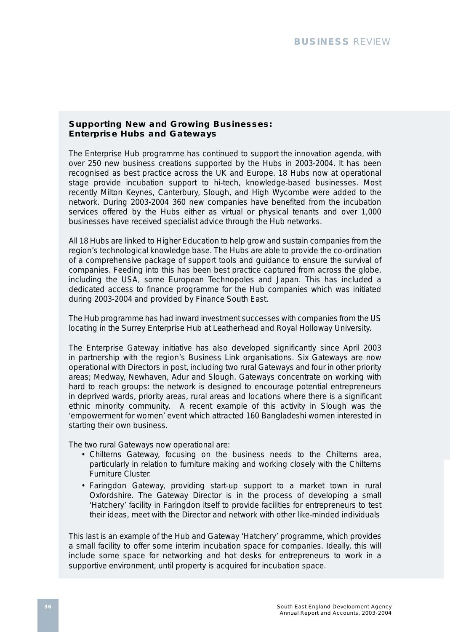### **Supporting New and Growing Businesses: Enterprise Hubs and Gateways**

The Enterprise Hub programme has continued to support the innovation agenda, with over 250 new business creations supported by the Hubs in 2003-2004. It has been recognised as best practice across the UK and Europe. 18 Hubs now at operational stage provide incubation support to hi-tech, knowledge-based businesses. Most recently Milton Keynes, Canterbury, Slough, and High Wycombe were added to the network. During 2003-2004 360 new companies have benefited from the incubation services offered by the Hubs either as virtual or physical tenants and over 1,000 businesses have received specialist advice through the Hub networks.

All 18 Hubs are linked to Higher Education to help grow and sustain companies from the region's technological knowledge base. The Hubs are able to provide the co-ordination of a comprehensive package of support tools and guidance to ensure the survival of companies. Feeding into this has been best practice captured from across the globe, including the USA, some European Technopoles and Japan. This has included a dedicated access to finance programme for the Hub companies which was initiated during 2003-2004 and provided by Finance South East.

The Hub programme has had inward investment successes with companies from the US locating in the Surrey Enterprise Hub at Leatherhead and Royal Holloway University.

The Enterprise Gateway initiative has also developed significantly since April 2003 in partnership with the region's Business Link organisations. Six Gateways are now operational with Directors in post, including two rural Gateways and four in other priority areas; Medway, Newhaven, Adur and Slough. Gateways concentrate on working with hard to reach groups: the network is designed to encourage potential entrepreneurs in deprived wards, priority areas, rural areas and locations where there is a significant ethnic minority community. A recent example of this activity in Slough was the 'empowerment for women' event which attracted 160 Bangladeshi women interested in starting their own business.

The two rural Gateways now operational are:

- Chilterns Gateway, focusing on the business needs to the Chilterns area, particularly in relation to furniture making and working closely with the Chilterns Furniture Cluster.
- Faringdon Gateway, providing start-up support to a market town in rural Oxfordshire. The Gateway Director is in the process of developing a small 'Hatchery' facility in Faringdon itself to provide facilities for entrepreneurs to test their ideas, meet with the Director and network with other like-minded individuals

This last is an example of the Hub and Gateway 'Hatchery' programme, which provides a small facility to offer some interim incubation space for companies. Ideally, this will include some space for networking and hot desks for entrepreneurs to work in a supportive environment, until property is acquired for incubation space.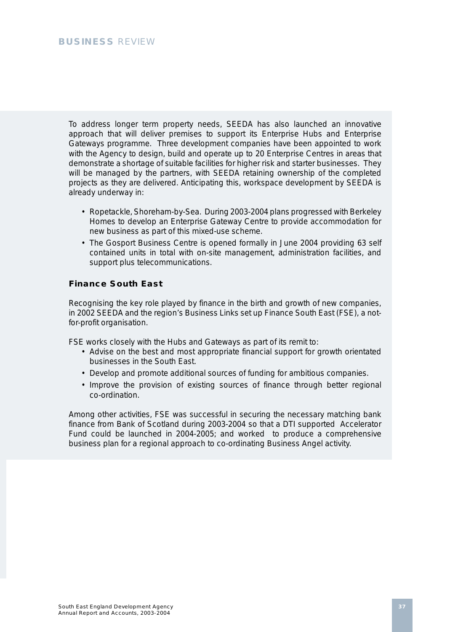To address longer term property needs, SEEDA has also launched an innovative approach that will deliver premises to support its Enterprise Hubs and Enterprise Gateways programme. Three development companies have been appointed to work with the Agency to design, build and operate up to 20 Enterprise Centres in areas that demonstrate a shortage of suitable facilities for higher risk and starter businesses. They will be managed by the partners, with SEEDA retaining ownership of the completed projects as they are delivered. Anticipating this, workspace development by SEEDA is already underway in:

- Ropetackle, Shoreham-by-Sea. During 2003-2004 plans progressed with Berkeley Homes to develop an Enterprise Gateway Centre to provide accommodation for new business as part of this mixed-use scheme.
- The Gosport Business Centre is opened formally in June 2004 providing 63 self contained units in total with on-site management, administration facilities, and support plus telecommunications.

### **Finance South East**

Recognising the key role played by finance in the birth and growth of new companies, in 2002 SEEDA and the region's Business Links set up Finance South East (FSE), a notfor-profit organisation.

FSE works closely with the Hubs and Gateways as part of its remit to:

- Advise on the best and most appropriate financial support for growth orientated businesses in the South East.
- Develop and promote additional sources of funding for ambitious companies.
- Improve the provision of existing sources of finance through better regional co-ordination.

Among other activities, FSE was successful in securing the necessary matching bank finance from Bank of Scotland during 2003-2004 so that a DTI supported Accelerator Fund could be launched in 2004-2005; and worked to produce a comprehensive business plan for a regional approach to co-ordinating Business Angel activity.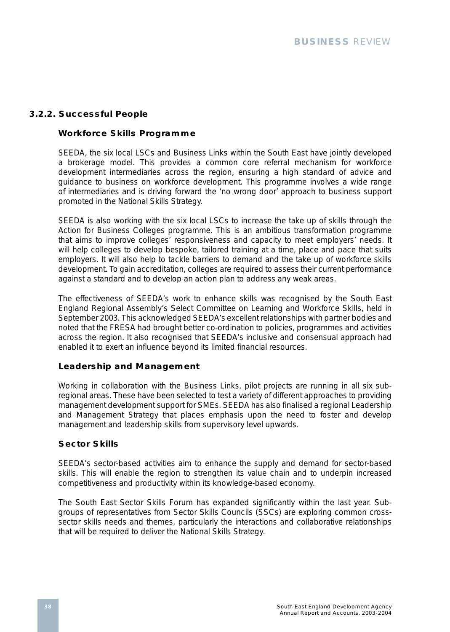### **3.2.2. Successful People**

### **Workforce Skills Programme**

SEEDA, the six local LSCs and Business Links within the South East have jointly developed a brokerage model. This provides a common core referral mechanism for workforce development intermediaries across the region, ensuring a high standard of advice and guidance to business on workforce development. This programme involves a wide range of intermediaries and is driving forward the 'no wrong door' approach to business support promoted in the National Skills Strategy.

SEEDA is also working with the six local LSCs to increase the take up of skills through the Action for Business Colleges programme. This is an ambitious transformation programme that aims to improve colleges' responsiveness and capacity to meet employers' needs. It will help colleges to develop bespoke, tailored training at a time, place and pace that suits employers. It will also help to tackle barriers to demand and the take up of workforce skills development. To gain accreditation, colleges are required to assess their current performance against a standard and to develop an action plan to address any weak areas.

The effectiveness of SEEDA's work to enhance skills was recognised by the South East England Regional Assembly's Select Committee on Learning and Workforce Skills, held in September 2003. This acknowledged SEEDA's excellent relationships with partner bodies and noted that the FRESA had brought better co-ordination to policies, programmes and activities across the region. It also recognised that SEEDA's inclusive and consensual approach had enabled it to exert an influence beyond its limited financial resources.

### **Leadership and Management**

Working in collaboration with the Business Links, pilot projects are running in all six subregional areas. These have been selected to test a variety of different approaches to providing management development support for SMEs. SEEDA has also finalised a regional Leadership and Management Strategy that places emphasis upon the need to foster and develop management and leadership skills from supervisory level upwards.

### **Sector Skills**

SEEDA's sector-based activities aim to enhance the supply and demand for sector-based skills. This will enable the region to strengthen its value chain and to underpin increased competitiveness and productivity within its knowledge-based economy.

The South East Sector Skills Forum has expanded significantly within the last year. Subgroups of representatives from Sector Skills Councils (SSCs) are exploring common crosssector skills needs and themes, particularly the interactions and collaborative relationships that will be required to deliver the National Skills Strategy.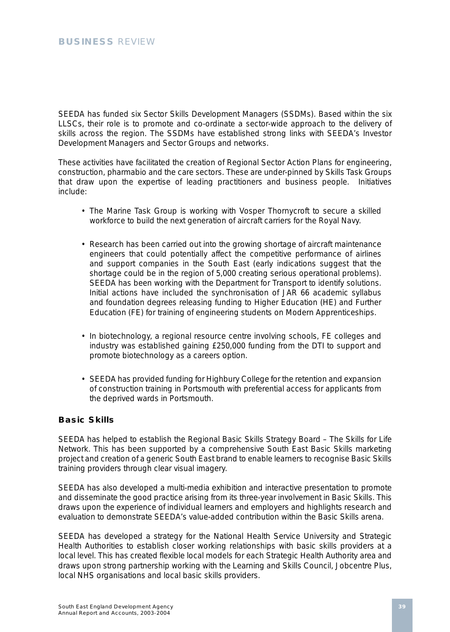SEEDA has funded six Sector Skills Development Managers (SSDMs). Based within the six LLSCs, their role is to promote and co-ordinate a sector-wide approach to the delivery of skills across the region. The SSDMs have established strong links with SEEDA's Investor Development Managers and Sector Groups and networks.

These activities have facilitated the creation of Regional Sector Action Plans for engineering, construction, pharmabio and the care sectors. These are under-pinned by Skills Task Groups that draw upon the expertise of leading practitioners and business people. Initiatives include:

- The Marine Task Group is working with Vosper Thornycroft to secure a skilled workforce to build the next generation of aircraft carriers for the Royal Navy.
- Research has been carried out into the growing shortage of aircraft maintenance engineers that could potentially affect the competitive performance of airlines and support companies in the South East (early indications suggest that the shortage could be in the region of 5,000 creating serious operational problems). SEEDA has been working with the Department for Transport to identify solutions. Initial actions have included the synchronisation of JAR 66 academic syllabus and foundation degrees releasing funding to Higher Education (HE) and Further Education (FE) for training of engineering students on Modern Apprenticeships.
- In biotechnology, a regional resource centre involving schools, FE colleges and industry was established gaining £250,000 funding from the DTI to support and promote biotechnology as a careers option.
- SEEDA has provided funding for Highbury College for the retention and expansion of construction training in Portsmouth with preferential access for applicants from the deprived wards in Portsmouth.

### **Basic Skills**

SEEDA has helped to establish the Regional Basic Skills Strategy Board – The Skills for Life Network. This has been supported by a comprehensive South East Basic Skills marketing project and creation of a generic South East brand to enable learners to recognise Basic Skills training providers through clear visual imagery.

SEEDA has also developed a multi-media exhibition and interactive presentation to promote and disseminate the good practice arising from its three-year involvement in Basic Skills. This draws upon the experience of individual learners and employers and highlights research and evaluation to demonstrate SEEDA's value-added contribution within the Basic Skills arena.

SEEDA has developed a strategy for the National Health Service University and Strategic Health Authorities to establish closer working relationships with basic skills providers at a local level. This has created flexible local models for each Strategic Health Authority area and draws upon strong partnership working with the Learning and Skills Council, Jobcentre Plus, local NHS organisations and local basic skills providers.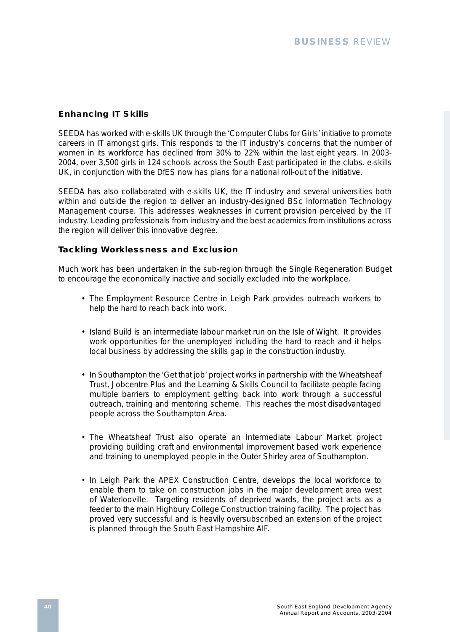### **Enhancing IT Skills**

SEEDA has worked with e-skills UK through the 'Computer Clubs for Girls' initiative to promote careers in IT amongst girls. This responds to the IT industry's concerns that the number of women in its workforce has declined from 30% to 22% within the last eight years. In 2003- 2004, over 3,500 girls in 124 schools across the South East participated in the clubs. e-skills UK, in conjunction with the DfES now has plans for a national roll-out of the initiative.

SEEDA has also collaborated with e-skills UK, the IT industry and several universities both within and outside the region to deliver an industry-designed BSc Information Technology Management course. This addresses weaknesses in current provision perceived by the IT industry. Leading professionals from industry and the best academics from institutions across the region will deliver this innovative degree.

### **Tackling Worklessness and Exclusion**

Much work has been undertaken in the sub-region through the Single Regeneration Budget to encourage the economically inactive and socially excluded into the workplace.

- The Employment Resource Centre in Leigh Park provides outreach workers to help the hard to reach back into work.
- Island Build is an intermediate labour market run on the Isle of Wight. It provides work opportunities for the unemployed including the hard to reach and it helps local business by addressing the skills gap in the construction industry.
- In Southampton the 'Get that job' project works in partnership with the Wheatsheaf Trust, Jobcentre Plus and the Learning & Skills Council to facilitate people facing multiple barriers to employment getting back into work through a successful outreach, training and mentoring scheme. This reaches the most disadvantaged people across the Southampton Area.
- The Wheatsheaf Trust also operate an Intermediate Labour Market project providing building craft and environmental improvement based work experience and training to unemployed people in the Outer Shirley area of Southampton.
- In Leigh Park the APEX Construction Centre, develops the local workforce to enable them to take on construction jobs in the major development area west of Waterlooville. Targeting residents of deprived wards, the project acts as a feeder to the main Highbury College Construction training facility. The project has proved very successful and is heavily oversubscribed an extension of the project is planned through the South East Hampshire AIF.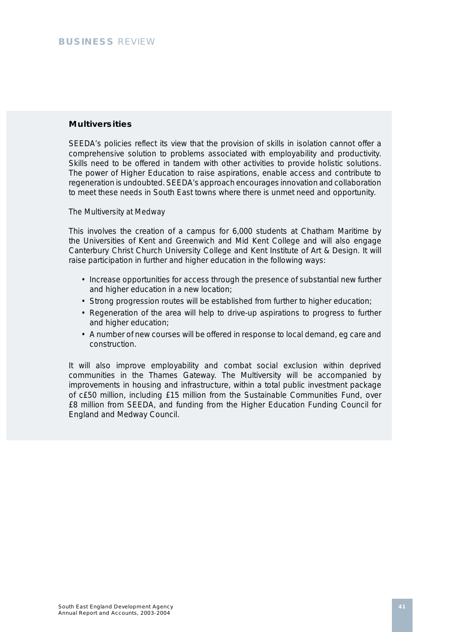### **Multiversities**

SEEDA's policies reflect its view that the provision of skills in isolation cannot offer a comprehensive solution to problems associated with employability and productivity. Skills need to be offered in tandem with other activities to provide holistic solutions. The power of Higher Education to raise aspirations, enable access and contribute to regeneration is undoubted. SEEDA's approach encourages innovation and collaboration to meet these needs in South East towns where there is unmet need and opportunity.

### *The Multiversity at Medway*

This involves the creation of a campus for 6,000 students at Chatham Maritime by the Universities of Kent and Greenwich and Mid Kent College and will also engage Canterbury Christ Church University College and Kent Institute of Art & Design. It will raise participation in further and higher education in the following ways:

- Increase opportunities for access through the presence of substantial new further and higher education in a new location;
- Strong progression routes will be established from further to higher education;
- Regeneration of the area will help to drive-up aspirations to progress to further and higher education;
- A number of new courses will be offered in response to local demand, eg care and construction.

It will also improve employability and combat social exclusion within deprived communities in the Thames Gateway. The Multiversity will be accompanied by improvements in housing and infrastructure, within a total public investment package of c£50 million, including £15 million from the Sustainable Communities Fund, over £8 million from SEEDA, and funding from the Higher Education Funding Council for England and Medway Council.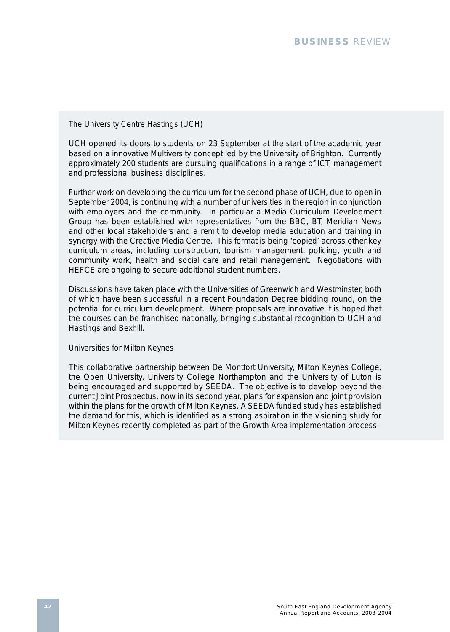### *The University Centre Hastings (UCH)*

UCH opened its doors to students on 23 September at the start of the academic year based on a innovative Multiversity concept led by the University of Brighton. Currently approximately 200 students are pursuing qualifications in a range of ICT, management and professional business disciplines.

Further work on developing the curriculum for the second phase of UCH, due to open in September 2004, is continuing with a number of universities in the region in conjunction with employers and the community. In particular a Media Curriculum Development Group has been established with representatives from the BBC, BT, Meridian News and other local stakeholders and a remit to develop media education and training in synergy with the Creative Media Centre. This format is being 'copied' across other key curriculum areas, including construction, tourism management, policing, youth and community work, health and social care and retail management. Negotiations with HEFCE are ongoing to secure additional student numbers.

Discussions have taken place with the Universities of Greenwich and Westminster, both of which have been successful in a recent Foundation Degree bidding round, on the potential for curriculum development. Where proposals are innovative it is hoped that the courses can be franchised nationally, bringing substantial recognition to UCH and Hastings and Bexhill.

#### *Universities for Milton Keynes*

This collaborative partnership between De Montfort University, Milton Keynes College, the Open University, University College Northampton and the University of Luton is being encouraged and supported by SEEDA. The objective is to develop beyond the current Joint Prospectus, now in its second year, plans for expansion and joint provision within the plans for the growth of Milton Keynes. A SEEDA funded study has established the demand for this, which is identified as a strong aspiration in the visioning study for Milton Keynes recently completed as part of the Growth Area implementation process.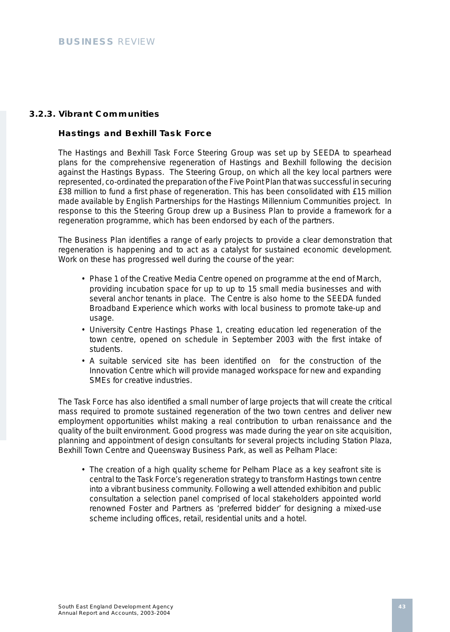### **3.2.3. Vibrant Communities**

### **Hastings and Bexhill Task Force**

The Hastings and Bexhill Task Force Steering Group was set up by SEEDA to spearhead plans for the comprehensive regeneration of Hastings and Bexhill following the decision against the Hastings Bypass. The Steering Group, on which all the key local partners were represented, co-ordinated the preparation of the Five Point Plan that was successful in securing £38 million to fund a first phase of regeneration. This has been consolidated with £15 million made available by English Partnerships for the Hastings Millennium Communities project. In response to this the Steering Group drew up a Business Plan to provide a framework for a regeneration programme, which has been endorsed by each of the partners.

The Business Plan identifies a range of early projects to provide a clear demonstration that regeneration is happening and to act as a catalyst for sustained economic development. Work on these has progressed well during the course of the year:

- Phase 1 of the Creative Media Centre opened on programme at the end of March, providing incubation space for up to up to 15 small media businesses and with several anchor tenants in place. The Centre is also home to the SEEDA funded Broadband Experience which works with local business to promote take-up and usage.
- University Centre Hastings Phase 1, creating education led regeneration of the town centre, opened on schedule in September 2003 with the first intake of students.
- A suitable serviced site has been identified on for the construction of the Innovation Centre which will provide managed workspace for new and expanding SMEs for creative industries.

The Task Force has also identified a small number of large projects that will create the critical mass required to promote sustained regeneration of the two town centres and deliver new employment opportunities whilst making a real contribution to urban renaissance and the quality of the built environment. Good progress was made during the year on site acquisition, planning and appointment of design consultants for several projects including Station Plaza, Bexhill Town Centre and Queensway Business Park, as well as Pelham Place:

• The creation of a high quality scheme for Pelham Place as a key seafront site is central to the Task Force's regeneration strategy to transform Hastings town centre into a vibrant business community. Following a well attended exhibition and public consultation a selection panel comprised of local stakeholders appointed world renowned Foster and Partners as 'preferred bidder' for designing a mixed-use scheme including offices, retail, residential units and a hotel.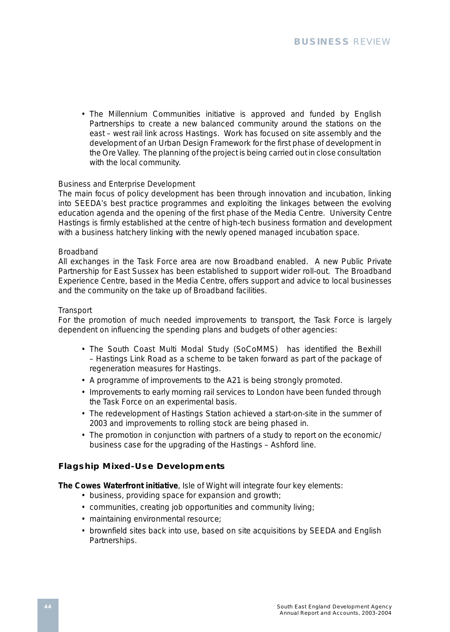• The Millennium Communities initiative is approved and funded by English Partnerships to create a new balanced community around the stations on the east – west rail link across Hastings. Work has focused on site assembly and the development of an Urban Design Framework for the first phase of development in the Ore Valley. The planning of the project is being carried out in close consultation with the local community.

### *Business and Enterprise Development*

The main focus of policy development has been through innovation and incubation, linking into SEEDA's best practice programmes and exploiting the linkages between the evolving education agenda and the opening of the first phase of the Media Centre. University Centre Hastings is firmly established at the centre of high-tech business formation and development with a business hatchery linking with the newly opened managed incubation space.

### *Broadband*

All exchanges in the Task Force area are now Broadband enabled. A new Public Private Partnership for East Sussex has been established to support wider roll-out. The Broadband Experience Centre, based in the Media Centre, offers support and advice to local businesses and the community on the take up of Broadband facilities.

### *Transport*

For the promotion of much needed improvements to transport, the Task Force is largely dependent on influencing the spending plans and budgets of other agencies:

- The South Coast Multi Modal Study (SoCoMMS) has identified the Bexhill – Hastings Link Road as a scheme to be taken forward as part of the package of regeneration measures for Hastings.
- A programme of improvements to the A21 is being strongly promoted.
- Improvements to early morning rail services to London have been funded through the Task Force on an experimental basis.
- The redevelopment of Hastings Station achieved a start-on-site in the summer of 2003 and improvements to rolling stock are being phased in.
- The promotion in conjunction with partners of a study to report on the economic/ business case for the upgrading of the Hastings – Ashford line.

### **Flagship Mixed-Use Developments**

**The Cowes Waterfront initiative**, Isle of Wight will integrate four key elements:

- business, providing space for expansion and growth;
- communities, creating job opportunities and community living;
- maintaining environmental resource;
- brownfield sites back into use, based on site acquisitions by SEEDA and English Partnerships.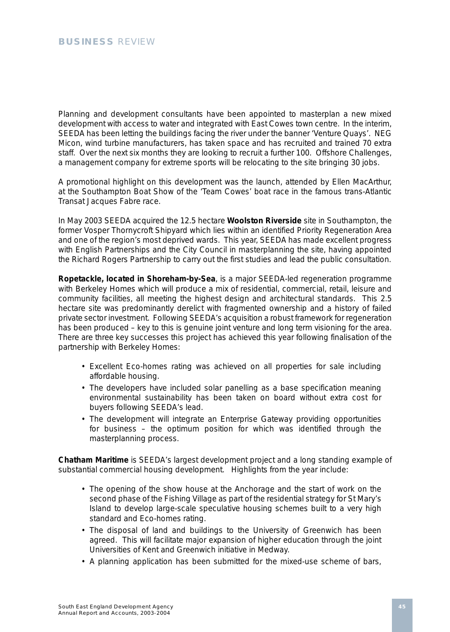Planning and development consultants have been appointed to masterplan a new mixed development with access to water and integrated with East Cowes town centre. In the interim, SEEDA has been letting the buildings facing the river under the banner 'Venture Quays'. NEG Micon, wind turbine manufacturers, has taken space and has recruited and trained 70 extra staff. Over the next six months they are looking to recruit a further 100. Offshore Challenges, a management company for extreme sports will be relocating to the site bringing 30 jobs.

A promotional highlight on this development was the launch, attended by Ellen MacArthur, at the Southampton Boat Show of the 'Team Cowes' boat race in the famous trans-Atlantic Transat Jacques Fabre race.

In May 2003 SEEDA acquired the 12.5 hectare **Woolston Riverside** site in Southampton, the former Vosper Thornycroft Shipyard which lies within an identified Priority Regeneration Area and one of the region's most deprived wards. This year, SEEDA has made excellent progress with English Partnerships and the City Council in masterplanning the site, having appointed the Richard Rogers Partnership to carry out the first studies and lead the public consultation.

**Ropetackle, located in Shoreham-by-Sea**, is a major SEEDA-led regeneration programme with Berkeley Homes which will produce a mix of residential, commercial, retail, leisure and community facilities, all meeting the highest design and architectural standards. This 2.5 hectare site was predominantly derelict with fragmented ownership and a history of failed private sector investment. Following SEEDA's acquisition a robust framework for regeneration has been produced – key to this is genuine joint venture and long term visioning for the area. There are three key successes this project has achieved this year following finalisation of the partnership with Berkeley Homes:

- Excellent Eco-homes rating was achieved on all properties for sale including affordable housing.
- The developers have included solar panelling as a base specification meaning environmental sustainability has been taken on board without extra cost for buyers following SEEDA's lead.
- The development will integrate an Enterprise Gateway providing opportunities for business – the optimum position for which was identified through the masterplanning process.

**Chatham Maritime** is SEEDA's largest development project and a long standing example of substantial commercial housing development. Highlights from the year include:

- The opening of the show house at the Anchorage and the start of work on the second phase of the Fishing Village as part of the residential strategy for St Mary's Island to develop large-scale speculative housing schemes built to a very high standard and Eco-homes rating.
- The disposal of land and buildings to the University of Greenwich has been agreed. This will facilitate major expansion of higher education through the joint Universities of Kent and Greenwich initiative in Medway.
- A planning application has been submitted for the mixed-use scheme of bars,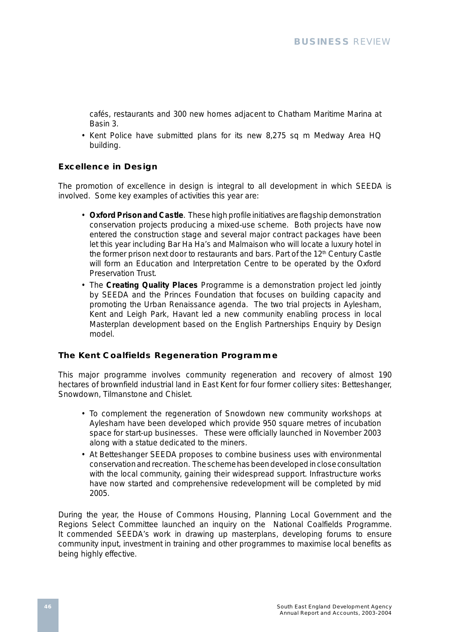cafés, restaurants and 300 new homes adjacent to Chatham Maritime Marina at Basin 3.

• Kent Police have submitted plans for its new 8,275 sq m Medway Area HQ building.

### **Excellence in Design**

The promotion of excellence in design is integral to all development in which SEEDA is involved. Some key examples of activities this year are:

- **Oxford Prison and Castle**. These high profile initiatives are flagship demonstration conservation projects producing a mixed-use scheme. Both projects have now entered the construction stage and several major contract packages have been let this year including Bar Ha Ha's and Malmaison who will locate a luxury hotel in the former prison next door to restaurants and bars. Part of the 12<sup>th</sup> Century Castle will form an Education and Interpretation Centre to be operated by the Oxford Preservation Trust.
- The **Creating Quality Places** Programme is a demonstration project led jointly by SEEDA and the Princes Foundation that focuses on building capacity and promoting the Urban Renaissance agenda. The two trial projects in Aylesham, Kent and Leigh Park, Havant led a new community enabling process in local Masterplan development based on the English Partnerships Enquiry by Design model.

### **The Kent Coalfields Regeneration Programme**

This major programme involves community regeneration and recovery of almost 190 hectares of brownfield industrial land in East Kent for four former colliery sites: Betteshanger, Snowdown, Tilmanstone and Chislet.

- To complement the regeneration of Snowdown new community workshops at Aylesham have been developed which provide 950 square metres of incubation space for start-up businesses. These were officially launched in November 2003 along with a statue dedicated to the miners.
- At Betteshanger SEEDA proposes to combine business uses with environmental conservation and recreation. The scheme has been developed in close consultation with the local community, gaining their widespread support. Infrastructure works have now started and comprehensive redevelopment will be completed by mid 2005.

During the year, the House of Commons Housing, Planning Local Government and the Regions Select Committee launched an inquiry on the National Coalfields Programme. It commended SEEDA's work in drawing up masterplans, developing forums to ensure community input, investment in training and other programmes to maximise local benefits as being highly effective.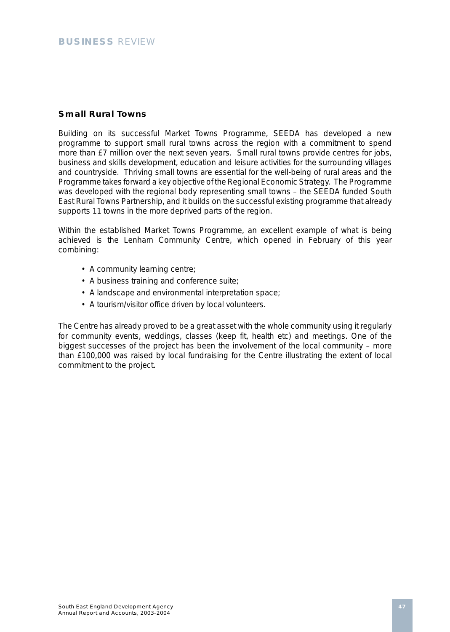### **Small Rural Towns**

Building on its successful Market Towns Programme, SEEDA has developed a new programme to support small rural towns across the region with a commitment to spend more than £7 million over the next seven years. Small rural towns provide centres for jobs, business and skills development, education and leisure activities for the surrounding villages and countryside. Thriving small towns are essential for the well-being of rural areas and the Programme takes forward a key objective of the Regional Economic Strategy. The Programme was developed with the regional body representing small towns – the SEEDA funded South East Rural Towns Partnership, and it builds on the successful existing programme that already supports 11 towns in the more deprived parts of the region.

Within the established Market Towns Programme, an excellent example of what is being achieved is the Lenham Community Centre, which opened in February of this year combining:

- A community learning centre;
- A business training and conference suite;
- A landscape and environmental interpretation space;
- A tourism/visitor office driven by local volunteers.

The Centre has already proved to be a great asset with the whole community using it regularly for community events, weddings, classes (keep fit, health etc) and meetings. One of the biggest successes of the project has been the involvement of the local community – more than £100,000 was raised by local fundraising for the Centre illustrating the extent of local commitment to the project.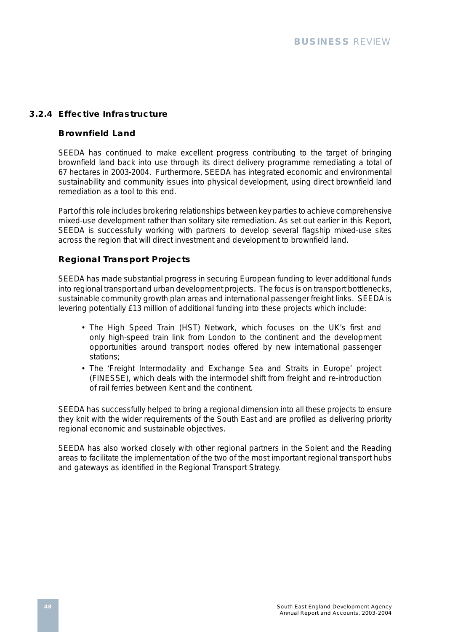### **3.2.4 Effective Infrastructure**

### **Brownfield Land**

SEEDA has continued to make excellent progress contributing to the target of bringing brownfield land back into use through its direct delivery programme remediating a total of 67 hectares in 2003-2004. Furthermore, SEEDA has integrated economic and environmental sustainability and community issues into physical development, using direct brownfield land remediation as a tool to this end.

Part of this role includes brokering relationships between key parties to achieve comprehensive mixed-use development rather than solitary site remediation. As set out earlier in this Report, SEEDA is successfully working with partners to develop several flagship mixed-use sites across the region that will direct investment and development to brownfield land.

### **Regional Transport Projects**

SEEDA has made substantial progress in securing European funding to lever additional funds into regional transport and urban development projects. The focus is on transport bottlenecks, sustainable community growth plan areas and international passenger freight links. SEEDA is levering potentially £13 million of additional funding into these projects which include:

- The High Speed Train (HST) Network, which focuses on the UK's first and only high-speed train link from London to the continent and the development opportunities around transport nodes offered by new international passenger stations;
- The 'Freight Intermodality and Exchange Sea and Straits in Europe' project (FINESSE), which deals with the intermodel shift from freight and re-introduction of rail ferries between Kent and the continent.

SEEDA has successfully helped to bring a regional dimension into all these projects to ensure they knit with the wider requirements of the South East and are profiled as delivering priority regional economic and sustainable objectives.

SEEDA has also worked closely with other regional partners in the Solent and the Reading areas to facilitate the implementation of the two of the most important regional transport hubs and gateways as identified in the Regional Transport Strategy.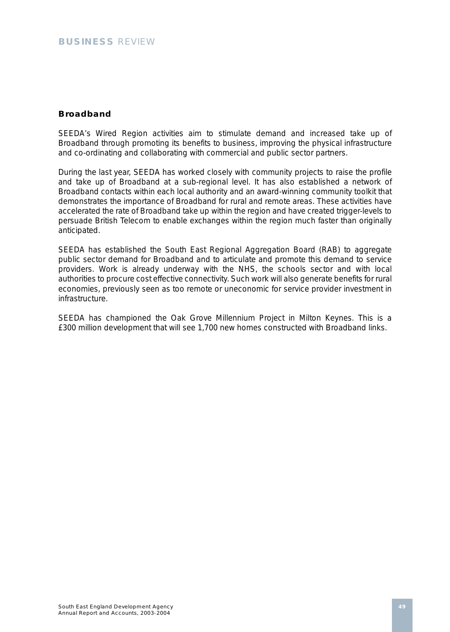### **Broadband**

SEEDA's Wired Region activities aim to stimulate demand and increased take up of Broadband through promoting its benefits to business, improving the physical infrastructure and co-ordinating and collaborating with commercial and public sector partners.

During the last year, SEEDA has worked closely with community projects to raise the profile and take up of Broadband at a sub-regional level. It has also established a network of Broadband contacts within each local authority and an award-winning community toolkit that demonstrates the importance of Broadband for rural and remote areas. These activities have accelerated the rate of Broadband take up within the region and have created trigger-levels to persuade British Telecom to enable exchanges within the region much faster than originally anticipated.

SEEDA has established the South East Regional Aggregation Board (RAB) to aggregate public sector demand for Broadband and to articulate and promote this demand to service providers. Work is already underway with the NHS, the schools sector and with local authorities to procure cost effective connectivity. Such work will also generate benefits for rural economies, previously seen as too remote or uneconomic for service provider investment in infrastructure.

SEEDA has championed the Oak Grove Millennium Project in Milton Keynes. This is a £300 million development that will see 1,700 new homes constructed with Broadband links.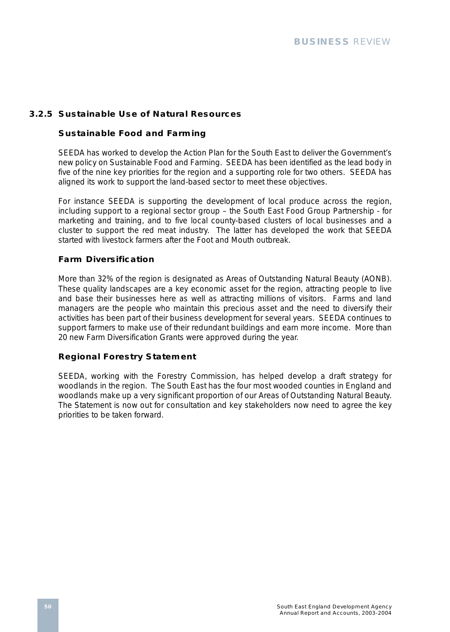### **3.2.5 Sustainable Use of Natural Resources**

### **Sustainable Food and Farming**

SEEDA has worked to develop the Action Plan for the South East to deliver the Government's new policy on Sustainable Food and Farming. SEEDA has been identified as the lead body in five of the nine key priorities for the region and a supporting role for two others. SEEDA has aligned its work to support the land-based sector to meet these objectives.

For instance SEEDA is supporting the development of local produce across the region, including support to a regional sector group – the South East Food Group Partnership - for marketing and training, and to five local county-based clusters of local businesses and a cluster to support the red meat industry. The latter has developed the work that SEEDA started with livestock farmers after the Foot and Mouth outbreak.

### **Farm Diversification**

More than 32% of the region is designated as Areas of Outstanding Natural Beauty (AONB). These quality landscapes are a key economic asset for the region, attracting people to live and base their businesses here as well as attracting millions of visitors. Farms and land managers are the people who maintain this precious asset and the need to diversify their activities has been part of their business development for several years. SEEDA continues to support farmers to make use of their redundant buildings and earn more income. More than 20 new Farm Diversification Grants were approved during the year.

### **Regional Forestry Statement**

SEEDA, working with the Forestry Commission, has helped develop a draft strategy for woodlands in the region. The South East has the four most wooded counties in England and woodlands make up a very significant proportion of our Areas of Outstanding Natural Beauty. The Statement is now out for consultation and key stakeholders now need to agree the key priorities to be taken forward.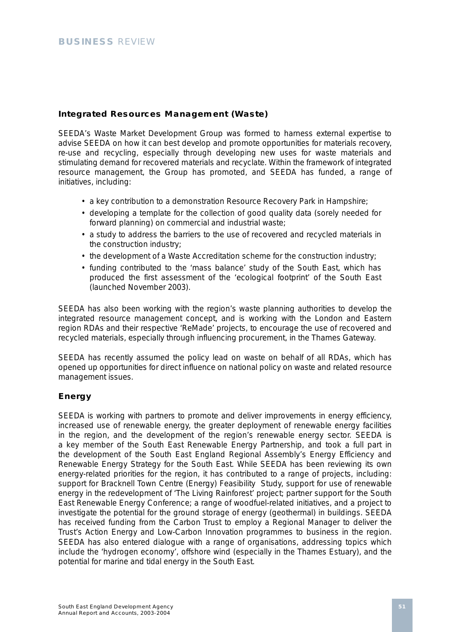### **Integrated Resources Management (Waste)**

SEEDA's Waste Market Development Group was formed to harness external expertise to advise SEEDA on how it can best develop and promote opportunities for materials recovery, re-use and recycling, especially through developing new uses for waste materials and stimulating demand for recovered materials and recyclate. Within the framework of integrated resource management, the Group has promoted, and SEEDA has funded, a range of initiatives, including:

- a key contribution to a demonstration Resource Recovery Park in Hampshire;
- developing a template for the collection of good quality data (sorely needed for forward planning) on commercial and industrial waste;
- a study to address the barriers to the use of recovered and recycled materials in the construction industry;
- the development of a Waste Accreditation scheme for the construction industry;
- funding contributed to the 'mass balance' study of the South East, which has produced the first assessment of the 'ecological footprint' of the South East (launched November 2003).

SEEDA has also been working with the region's waste planning authorities to develop the integrated resource management concept, and is working with the London and Eastern region RDAs and their respective 'ReMade' projects, to encourage the use of recovered and recycled materials, especially through influencing procurement, in the Thames Gateway.

SEEDA has recently assumed the policy lead on waste on behalf of all RDAs, which has opened up opportunities for direct influence on national policy on waste and related resource management issues.

### **Energy**

SEEDA is working with partners to promote and deliver improvements in energy efficiency, increased use of renewable energy, the greater deployment of renewable energy facilities in the region, and the development of the region's renewable energy sector. SEEDA is a key member of the South East Renewable Energy Partnership, and took a full part in the development of the South East England Regional Assembly's Energy Efficiency and Renewable Energy Strategy for the South East. While SEEDA has been reviewing its own energy-related priorities for the region, it has contributed to a range of projects, including: support for Bracknell Town Centre (Energy) Feasibility Study, support for use of renewable energy in the redevelopment of 'The Living Rainforest' project; partner support for the South East Renewable Energy Conference; a range of woodfuel-related initiatives, and a project to investigate the potential for the ground storage of energy (geothermal) in buildings. SEEDA has received funding from the Carbon Trust to employ a Regional Manager to deliver the Trust's Action Energy and Low-Carbon Innovation programmes to business in the region. SEEDA has also entered dialogue with a range of organisations, addressing topics which include the 'hydrogen economy', offshore wind (especially in the Thames Estuary), and the potential for marine and tidal energy in the South East.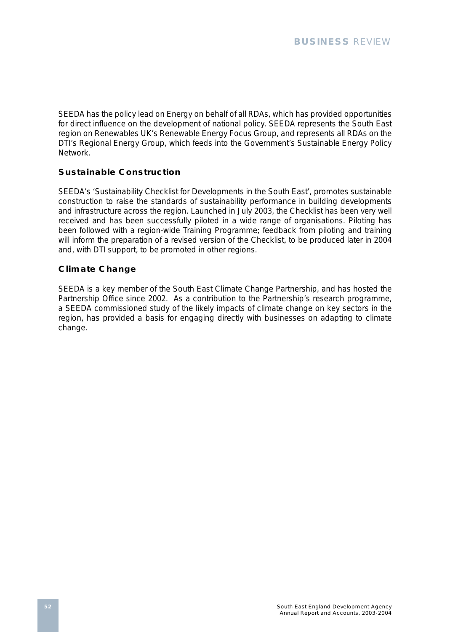SEEDA has the policy lead on Energy on behalf of all RDAs, which has provided opportunities for direct influence on the development of national policy. SEEDA represents the South East region on Renewables UK's Renewable Energy Focus Group, and represents all RDAs on the DTI's Regional Energy Group, which feeds into the Government's Sustainable Energy Policy Network.

### **Sustainable Construction**

SEEDA's 'Sustainability Checklist for Developments in the South East', promotes sustainable construction to raise the standards of sustainability performance in building developments and infrastructure across the region. Launched in July 2003, the Checklist has been very well received and has been successfully piloted in a wide range of organisations. Piloting has been followed with a region-wide Training Programme; feedback from piloting and training will inform the preparation of a revised version of the Checklist, to be produced later in 2004 and, with DTI support, to be promoted in other regions.

### **Climate Change**

SEEDA is a key member of the South East Climate Change Partnership, and has hosted the Partnership Office since 2002. As a contribution to the Partnership's research programme, a SEEDA commissioned study of the likely impacts of climate change on key sectors in the region, has provided a basis for engaging directly with businesses on adapting to climate change.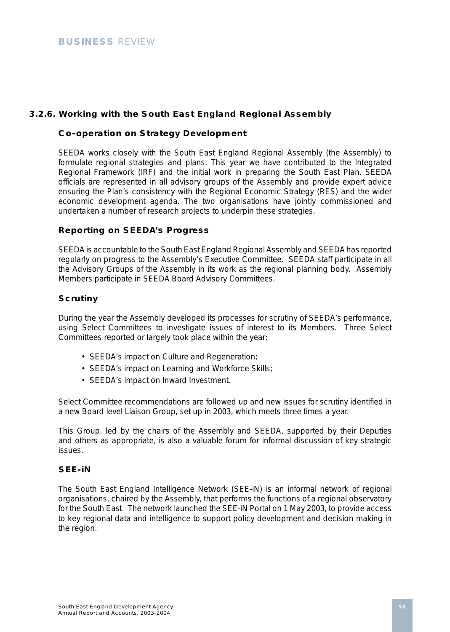### **3.2.6. Working with the South East England Regional Assembly**

### **Co-operation on Strategy Development**

SEEDA works closely with the South East England Regional Assembly (the Assembly) to formulate regional strategies and plans. This year we have contributed to the Integrated Regional Framework (IRF) and the initial work in preparing the South East Plan. SEEDA officials are represented in all advisory groups of the Assembly and provide expert advice ensuring the Plan's consistency with the Regional Economic Strategy (RES) and the wider economic development agenda. The two organisations have jointly commissioned and undertaken a number of research projects to underpin these strategies.

### **Reporting on SEEDA's Progress**

SEEDA is accountable to the South East England Regional Assembly and SEEDA has reported regularly on progress to the Assembly's Executive Committee. SEEDA staff participate in all the Advisory Groups of the Assembly in its work as the regional planning body. Assembly Members participate in SEEDA Board Advisory Committees.

### **Scrutiny**

During the year the Assembly developed its processes for scrutiny of SEEDA's performance, using Select Committees to investigate issues of interest to its Members. Three Select Committees reported or largely took place within the year:

- SEEDA's impact on Culture and Regeneration;
- SEEDA's impact on Learning and Workforce Skills;
- SEEDA's impact on Inward Investment.

Select Committee recommendations are followed up and new issues for scrutiny identified in a new Board level Liaison Group, set up in 2003, which meets three times a year.

This Group, led by the chairs of the Assembly and SEEDA, supported by their Deputies and others as appropriate, is also a valuable forum for informal discussion of key strategic issues.

### **SEE-iN**

The South East England Intelligence Network (SEE-iN) is an informal network of regional organisations, chaired by the Assembly, that performs the functions of a regional observatory for the South East. The network launched the SEE-iN Portal on 1 May 2003, to provide access to key regional data and intelligence to support policy development and decision making in the region.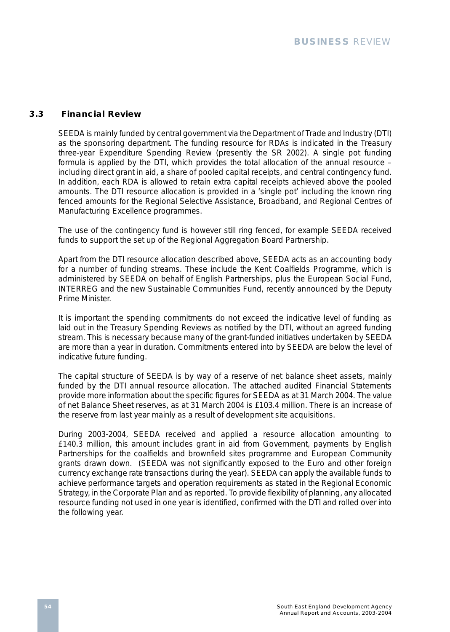### **3.3 Financial Review**

SEEDA is mainly funded by central government via the Department of Trade and Industry (DTI) as the sponsoring department. The funding resource for RDAs is indicated in the Treasury three-year Expenditure Spending Review (presently the SR 2002). A single pot funding formula is applied by the DTI, which provides the total allocation of the annual resource – including direct grant in aid, a share of pooled capital receipts, and central contingency fund. In addition, each RDA is allowed to retain extra capital receipts achieved above the pooled amounts. The DTI resource allocation is provided in a 'single pot' including the known ring fenced amounts for the Regional Selective Assistance, Broadband, and Regional Centres of Manufacturing Excellence programmes.

The use of the contingency fund is however still ring fenced, for example SEEDA received funds to support the set up of the Regional Aggregation Board Partnership.

Apart from the DTI resource allocation described above, SEEDA acts as an accounting body for a number of funding streams. These include the Kent Coalfields Programme, which is administered by SEEDA on behalf of English Partnerships, plus the European Social Fund, INTERREG and the new Sustainable Communities Fund, recently announced by the Deputy Prime Minister.

It is important the spending commitments do not exceed the indicative level of funding as laid out in the Treasury Spending Reviews as notified by the DTI, without an agreed funding stream. This is necessary because many of the grant-funded initiatives undertaken by SEEDA are more than a year in duration. Commitments entered into by SEEDA are below the level of indicative future funding.

The capital structure of SEEDA is by way of a reserve of net balance sheet assets, mainly funded by the DTI annual resource allocation. The attached audited Financial Statements provide more information about the specific figures for SEEDA as at 31 March 2004. The value of net Balance Sheet reserves, as at 31 March 2004 is £103.4 million. There is an increase of the reserve from last year mainly as a result of development site acquisitions.

During 2003-2004, SEEDA received and applied a resource allocation amounting to £140.3 million, this amount includes grant in aid from Government, payments by English Partnerships for the coalfields and brownfield sites programme and European Community grants drawn down. (SEEDA was not significantly exposed to the Euro and other foreign currency exchange rate transactions during the year). SEEDA can apply the available funds to achieve performance targets and operation requirements as stated in the Regional Economic Strategy, in the Corporate Plan and as reported. To provide flexibility of planning, any allocated resource funding not used in one year is identified, confirmed with the DTI and rolled over into the following year.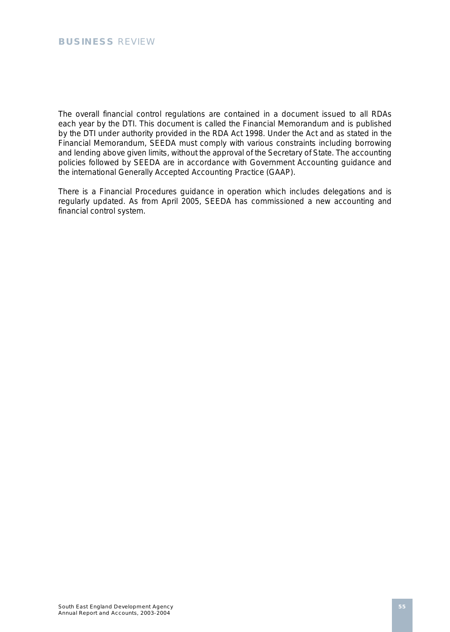The overall financial control regulations are contained in a document issued to all RDAs each year by the DTI. This document is called the Financial Memorandum and is published by the DTI under authority provided in the RDA Act 1998. Under the Act and as stated in the Financial Memorandum, SEEDA must comply with various constraints including borrowing and lending above given limits, without the approval of the Secretary of State. The accounting policies followed by SEEDA are in accordance with Government Accounting guidance and the international Generally Accepted Accounting Practice (GAAP).

There is a Financial Procedures guidance in operation which includes delegations and is regularly updated. As from April 2005, SEEDA has commissioned a new accounting and financial control system.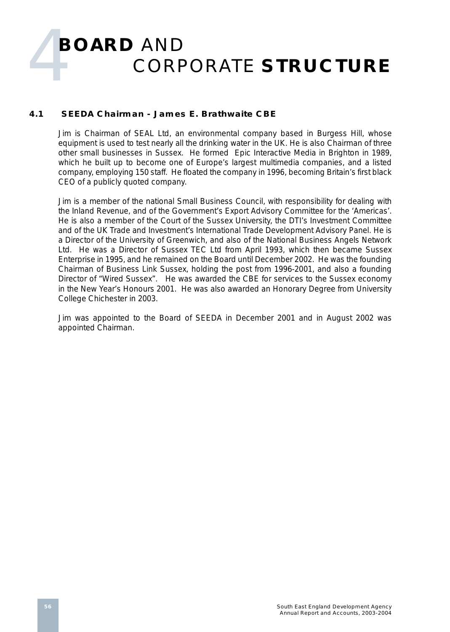## *4***BOARD** AND CORPORATE **STRUCTURE**

### **4.1 SEEDA Chairman - James E. Brathwaite CBE**

Jim is Chairman of SEAL Ltd, an environmental company based in Burgess Hill, whose equipment is used to test nearly all the drinking water in the UK. He is also Chairman of three other small businesses in Sussex. He formed Epic Interactive Media in Brighton in 1989, which he built up to become one of Europe's largest multimedia companies, and a listed company, employing 150 staff. He floated the company in 1996, becoming Britain's first black CEO of a publicly quoted company.

Jim is a member of the national Small Business Council, with responsibility for dealing with the Inland Revenue, and of the Government's Export Advisory Committee for the 'Americas'. He is also a member of the Court of the Sussex University, the DTI's Investment Committee and of the UK Trade and Investment's International Trade Development Advisory Panel. He is a Director of the University of Greenwich, and also of the National Business Angels Network Ltd. He was a Director of Sussex TEC Ltd from April 1993, which then became Sussex Enterprise in 1995, and he remained on the Board until December 2002. He was the founding Chairman of Business Link Sussex, holding the post from 1996-2001, and also a founding Director of "Wired Sussex". He was awarded the CBE for services to the Sussex economy in the New Year's Honours 2001. He was also awarded an Honorary Degree from University College Chichester in 2003.

Jim was appointed to the Board of SEEDA in December 2001 and in August 2002 was appointed Chairman.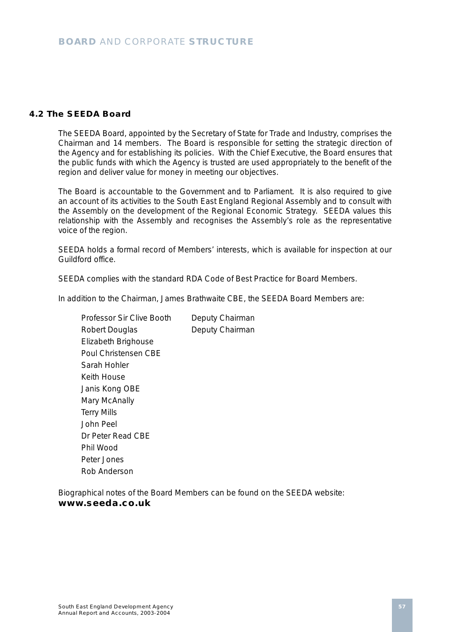### **4.2 The SEEDA Board**

The SEEDA Board, appointed by the Secretary of State for Trade and Industry, comprises the Chairman and 14 members. The Board is responsible for setting the strategic direction of the Agency and for establishing its policies. With the Chief Executive, the Board ensures that the public funds with which the Agency is trusted are used appropriately to the benefit of the region and deliver value for money in meeting our objectives.

The Board is accountable to the Government and to Parliament. It is also required to give an account of its activities to the South East England Regional Assembly and to consult with the Assembly on the development of the Regional Economic Strategy. SEEDA values this relationship with the Assembly and recognises the Assembly's role as the representative voice of the region.

SEEDA holds a formal record of Members' interests, which is available for inspection at our Guildford office.

SEEDA complies with the standard RDA Code of Best Practice for Board Members.

In addition to the Chairman, James Brathwaite CBE, the SEEDA Board Members are:

Professor Sir Clive Booth Deputy Chairman Robert Douglas **Deputy Chairman** Elizabeth Brighouse Poul Christensen CBE Sarah Hohler Keith House Janis Kong OBE Mary McAnally Terry Mills John Peel Dr Peter Read CBE Phil Wood Peter Jones Rob Anderson

Biographical notes of the Board Members can be found on the SEEDA website: **www.seeda.co.uk**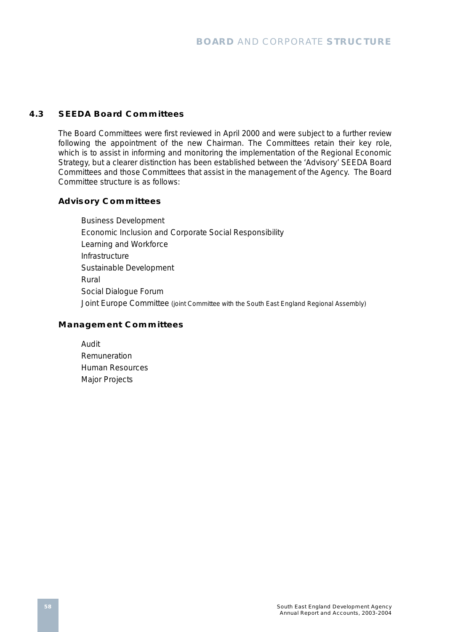### **4.3 SEEDA Board Committees**

The Board Committees were first reviewed in April 2000 and were subject to a further review following the appointment of the new Chairman. The Committees retain their key role, which is to assist in informing and monitoring the implementation of the Regional Economic Strategy, but a clearer distinction has been established between the 'Advisory' SEEDA Board Committees and those Committees that assist in the management of the Agency. The Board Committee structure is as follows:

### **Advisory Committees**

Business Development Economic Inclusion and Corporate Social Responsibility Learning and Workforce **Infrastructure** Sustainable Development Rural Social Dialogue Forum Joint Europe Committee (joint Committee with the South East England Regional Assembly)

### **Management Committees**

Audit Remuneration Human Resources Major Projects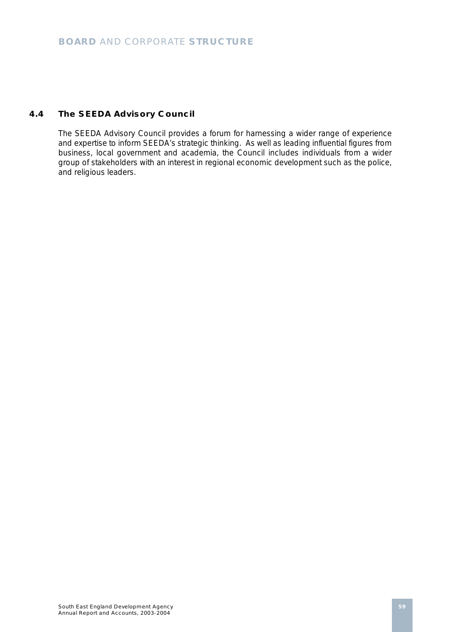### **4.4 The SEEDA Advisory Council**

The SEEDA Advisory Council provides a forum for harnessing a wider range of experience and expertise to inform SEEDA's strategic thinking. As well as leading influential figures from business, local government and academia, the Council includes individuals from a wider group of stakeholders with an interest in regional economic development such as the police, and religious leaders.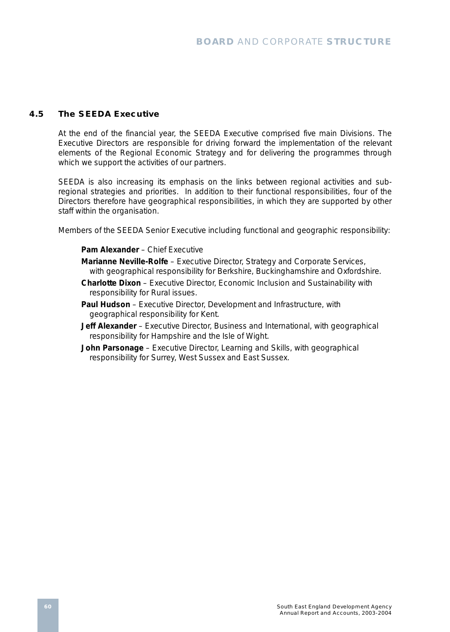### **4.5 The SEEDA Executive**

At the end of the financial year, the SEEDA Executive comprised five main Divisions. The Executive Directors are responsible for driving forward the implementation of the relevant elements of the Regional Economic Strategy and for delivering the programmes through which we support the activities of our partners.

SEEDA is also increasing its emphasis on the links between regional activities and subregional strategies and priorities. In addition to their functional responsibilities, four of the Directors therefore have geographical responsibilities, in which they are supported by other staff within the organisation.

Members of the SEEDA Senior Executive including functional and geographic responsibility:

### **Pam Alexander** – Chief Executive

- **Marianne Neville-Rolfe**  Executive Director, Strategy and Corporate Services, with geographical responsibility for Berkshire, Buckinghamshire and Oxfordshire.
- **Charlotte Dixon** Executive Director, Economic Inclusion and Sustainability with responsibility for Rural issues.
- **Paul Hudson** Executive Director, Development and Infrastructure, with geographical responsibility for Kent.
- **Jeff Alexander** Executive Director, Business and International, with geographical responsibility for Hampshire and the Isle of Wight.
- **John Parsonage** Executive Director, Learning and Skills, with geographical responsibility for Surrey, West Sussex and East Sussex.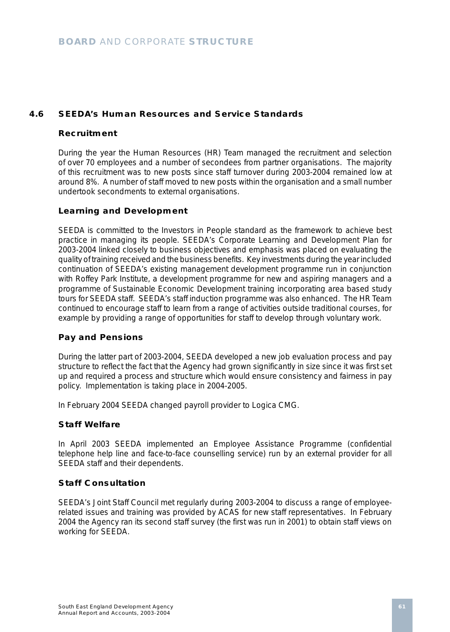### **4.6 SEEDA's Human Resources and Service Standards**

### **Recruitment**

During the year the Human Resources (HR) Team managed the recruitment and selection of over 70 employees and a number of secondees from partner organisations. The majority of this recruitment was to new posts since staff turnover during 2003-2004 remained low at around 8%. A number of staff moved to new posts within the organisation and a small number undertook secondments to external organisations.

### **Learning and Development**

SEEDA is committed to the Investors in People standard as the framework to achieve best practice in managing its people. SEEDA's Corporate Learning and Development Plan for 2003-2004 linked closely to business objectives and emphasis was placed on evaluating the quality of training received and the business benefits. Key investments during the year included continuation of SEEDA's existing management development programme run in conjunction with Roffey Park Institute, a development programme for new and aspiring managers and a programme of Sustainable Economic Development training incorporating area based study tours for SEEDA staff. SEEDA's staff induction programme was also enhanced. The HR Team continued to encourage staff to learn from a range of activities outside traditional courses, for example by providing a range of opportunities for staff to develop through voluntary work.

### **Pay and Pensions**

During the latter part of 2003-2004, SEEDA developed a new job evaluation process and pay structure to reflect the fact that the Agency had grown significantly in size since it was first set up and required a process and structure which would ensure consistency and fairness in pay policy. Implementation is taking place in 2004-2005.

In February 2004 SEEDA changed payroll provider to Logica CMG.

### **Staff Welfare**

In April 2003 SEEDA implemented an Employee Assistance Programme (confidential telephone help line and face-to-face counselling service) run by an external provider for all SEEDA staff and their dependents.

### **Staff Consultation**

SEEDA's Joint Staff Council met regularly during 2003-2004 to discuss a range of employeerelated issues and training was provided by ACAS for new staff representatives. In February 2004 the Agency ran its second staff survey (the first was run in 2001) to obtain staff views on working for SEEDA.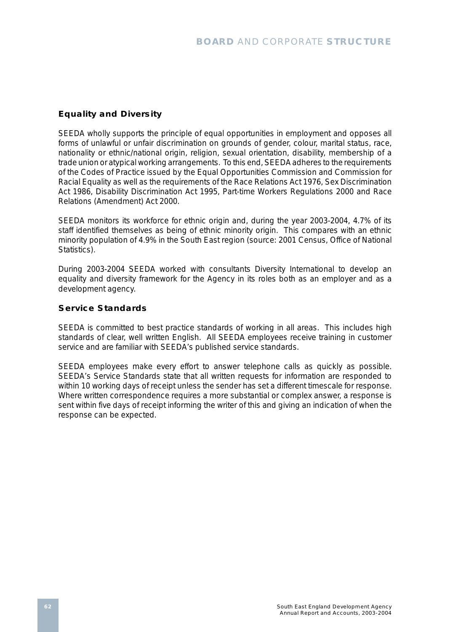### **Equality and Diversity**

SEEDA wholly supports the principle of equal opportunities in employment and opposes all forms of unlawful or unfair discrimination on grounds of gender, colour, marital status, race, nationality or ethnic/national origin, religion, sexual orientation, disability, membership of a trade union or atypical working arrangements. To this end, SEEDA adheres to the requirements of the Codes of Practice issued by the Equal Opportunities Commission and Commission for Racial Equality as well as the requirements of the Race Relations Act 1976, Sex Discrimination Act 1986, Disability Discrimination Act 1995, Part-time Workers Regulations 2000 and Race Relations (Amendment) Act 2000.

SEEDA monitors its workforce for ethnic origin and, during the year 2003-2004, 4.7% of its staff identified themselves as being of ethnic minority origin. This compares with an ethnic minority population of 4.9% in the South East region (source: 2001 Census, Office of National Statistics).

During 2003-2004 SEEDA worked with consultants Diversity International to develop an equality and diversity framework for the Agency in its roles both as an employer and as a development agency.

### **Service Standards**

SEEDA is committed to best practice standards of working in all areas. This includes high standards of clear, well written English. All SEEDA employees receive training in customer service and are familiar with SEEDA's published service standards.

SEEDA employees make every effort to answer telephone calls as quickly as possible. SEEDA's Service Standards state that all written requests for information are responded to within 10 working days of receipt unless the sender has set a different timescale for response. Where written correspondence requires a more substantial or complex answer, a response is sent within five days of receipt informing the writer of this and giving an indication of when the response can be expected.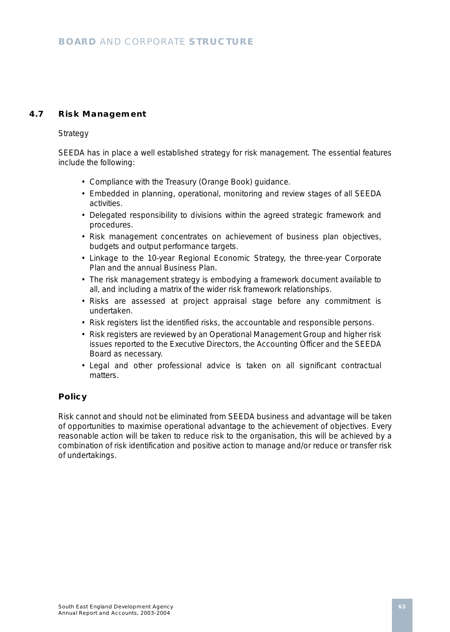### **4.7 Risk Management**

### **Strategy**

SEEDA has in place a well established strategy for risk management. The essential features include the following:

- Compliance with the Treasury (Orange Book) guidance.
- Embedded in planning, operational, monitoring and review stages of all SEEDA activities.
- Delegated responsibility to divisions within the agreed strategic framework and procedures.
- Risk management concentrates on achievement of business plan objectives, budgets and output performance targets.
- Linkage to the 10-year Regional Economic Strategy, the three-year Corporate Plan and the annual Business Plan.
- The risk management strategy is embodying a framework document available to all, and including a matrix of the wider risk framework relationships.
- Risks are assessed at project appraisal stage before any commitment is undertaken.
- Risk registers list the identified risks, the accountable and responsible persons.
- Risk registers are reviewed by an Operational Management Group and higher risk issues reported to the Executive Directors, the Accounting Officer and the SEEDA Board as necessary.
- Legal and other professional advice is taken on all significant contractual matters.

### **Policy**

Risk cannot and should not be eliminated from SEEDA business and advantage will be taken of opportunities to maximise operational advantage to the achievement of objectives. Every reasonable action will be taken to reduce risk to the organisation, this will be achieved by a combination of risk identification and positive action to manage and/or reduce or transfer risk of undertakings.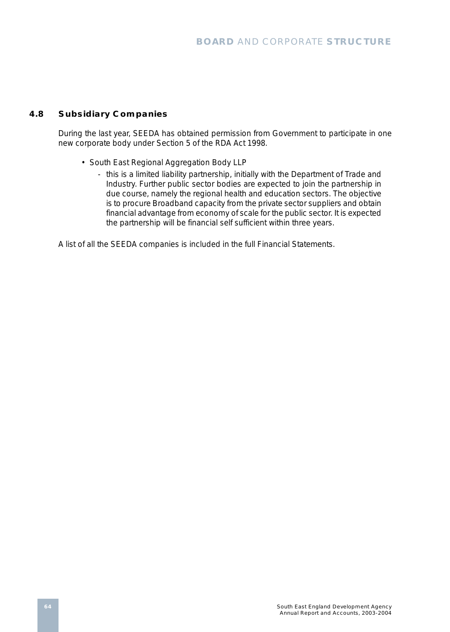### **4.8 Subsidiary Companies**

During the last year, SEEDA has obtained permission from Government to participate in one new corporate body under Section 5 of the RDA Act 1998.

- South East Regional Aggregation Body LLP
	- this is a limited liability partnership, initially with the Department of Trade and Industry. Further public sector bodies are expected to join the partnership in due course, namely the regional health and education sectors. The objective is to procure Broadband capacity from the private sector suppliers and obtain financial advantage from economy of scale for the public sector. It is expected the partnership will be financial self sufficient within three years.

A list of all the SEEDA companies is included in the full Financial Statements.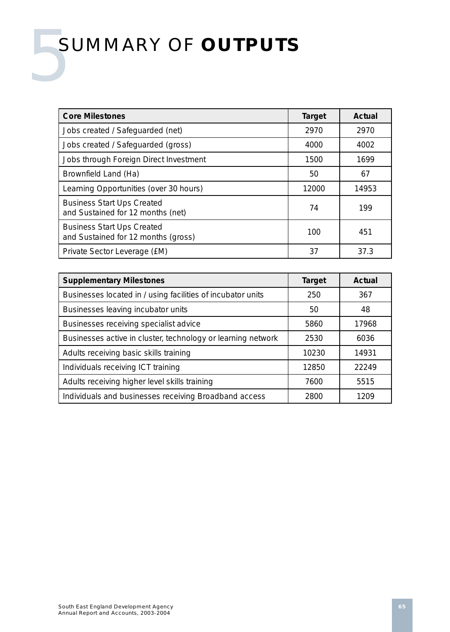# **BUARDARY OF OUTE** *5*SUMMARY OF **OUTPUTS**

| <b>Core Milestones</b>                                                   | <b>Target</b> | Actual |
|--------------------------------------------------------------------------|---------------|--------|
| Jobs created / Safeguarded (net)                                         | 2970          | 2970   |
| Jobs created / Safeguarded (gross)                                       | 4000          | 4002   |
| Jobs through Foreign Direct Investment                                   | 1500          | 1699   |
| Brownfield Land (Ha)                                                     | 50            | 67     |
| Learning Opportunities (over 30 hours)                                   | 12000         | 14953  |
| <b>Business Start Ups Created</b><br>and Sustained for 12 months (net)   | 74            | 199    |
| <b>Business Start Ups Created</b><br>and Sustained for 12 months (gross) | 100           | 451    |
| Private Sector Leverage (EM)                                             | 37            | 37.3   |

| <b>Supplementary Milestones</b>                              | <b>Target</b> | Actual |
|--------------------------------------------------------------|---------------|--------|
| Businesses located in / using facilities of incubator units  | 250           | 367    |
| Businesses leaving incubator units                           | 50            | 48     |
| Businesses receiving specialist advice                       | 5860          | 17968  |
| Businesses active in cluster, technology or learning network | 2530          | 6036   |
| Adults receiving basic skills training                       | 10230         | 14931  |
| Individuals receiving ICT training                           | 12850         | 22249  |
| Adults receiving higher level skills training                | 7600          | 5515   |
| Individuals and businesses receiving Broadband access        | 2800          | 1209   |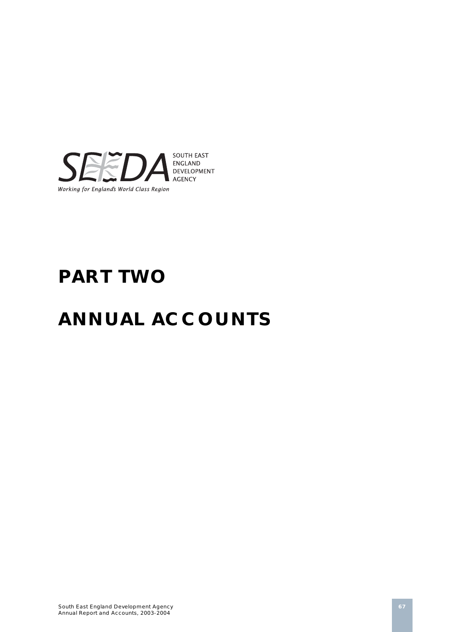

### **PART TWO**

### **ANNUAL ACCOUNTS**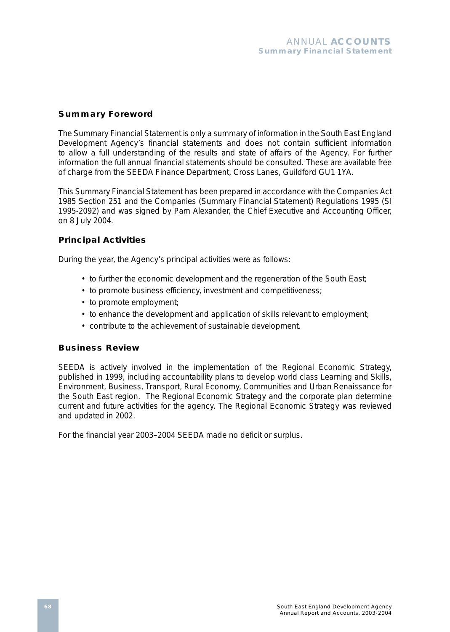### **Summary Foreword**

The Summary Financial Statement is only a summary of information in the South East England Development Agency's financial statements and does not contain sufficient information to allow a full understanding of the results and state of affairs of the Agency. For further information the full annual financial statements should be consulted. These are available free of charge from the SEEDA Finance Department, Cross Lanes, Guildford GU1 1YA.

This Summary Financial Statement has been prepared in accordance with the Companies Act 1985 Section 251 and the Companies (Summary Financial Statement) Regulations 1995 (SI 1995-2092) and was signed by Pam Alexander, the Chief Executive and Accounting Officer, on 8 July 2004.

### **Principal Activities**

During the year, the Agency's principal activities were as follows:

- to further the economic development and the regeneration of the South East;
- to promote business efficiency, investment and competitiveness;
- to promote employment;
- to enhance the development and application of skills relevant to employment;
- contribute to the achievement of sustainable development.

### **Business Review**

SEEDA is actively involved in the implementation of the Regional Economic Strategy, published in 1999, including accountability plans to develop world class Learning and Skills, Environment, Business, Transport, Rural Economy, Communities and Urban Renaissance for the South East region. The Regional Economic Strategy and the corporate plan determine current and future activities for the agency. The Regional Economic Strategy was reviewed and updated in 2002.

For the financial year 2003–2004 SEEDA made no deficit or surplus.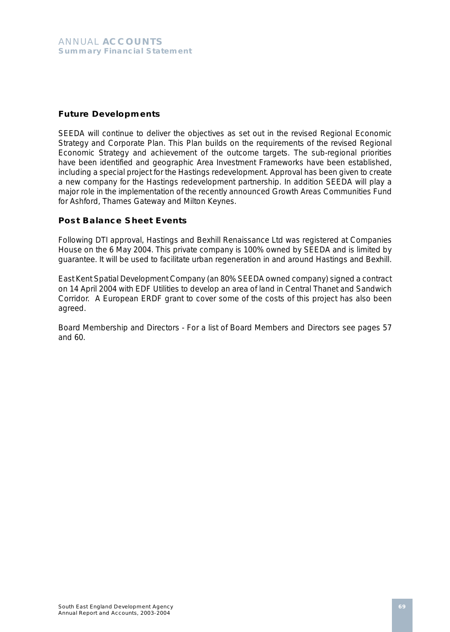### **Future Developments**

SEEDA will continue to deliver the objectives as set out in the revised Regional Economic Strategy and Corporate Plan. This Plan builds on the requirements of the revised Regional Economic Strategy and achievement of the outcome targets. The sub-regional priorities have been identified and geographic Area Investment Frameworks have been established, including a special project for the Hastings redevelopment. Approval has been given to create a new company for the Hastings redevelopment partnership. In addition SEEDA will play a major role in the implementation of the recently announced Growth Areas Communities Fund for Ashford, Thames Gateway and Milton Keynes.

### **Post Balance Sheet Events**

Following DTI approval, Hastings and Bexhill Renaissance Ltd was registered at Companies House on the 6 May 2004. This private company is 100% owned by SEEDA and is limited by guarantee. It will be used to facilitate urban regeneration in and around Hastings and Bexhill.

East Kent Spatial Development Company (an 80% SEEDA owned company) signed a contract on 14 April 2004 with EDF Utilities to develop an area of land in Central Thanet and Sandwich Corridor. A European ERDF grant to cover some of the costs of this project has also been agreed.

Board Membership and Directors - For a list of Board Members and Directors see pages 57 and 60.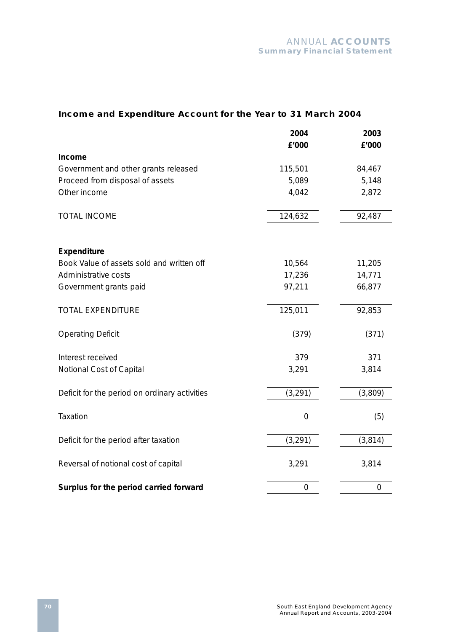|                                               | 2004        | 2003        |  |
|-----------------------------------------------|-------------|-------------|--|
|                                               | £'000       | £'000       |  |
| Income                                        |             |             |  |
| Government and other grants released          | 115,501     | 84,467      |  |
| Proceed from disposal of assets               | 5,089       | 5,148       |  |
| Other income                                  | 4,042       | 2,872       |  |
| <b>TOTAL INCOME</b>                           | 124,632     | 92,487      |  |
| <b>Expenditure</b>                            |             |             |  |
| Book Value of assets sold and written off     | 10,564      | 11,205      |  |
| Administrative costs                          | 17,236      | 14,771      |  |
| Government grants paid                        | 97,211      | 66,877      |  |
| <b>TOTAL EXPENDITURE</b>                      | 125,011     | 92,853      |  |
| <b>Operating Deficit</b>                      | (379)       | (371)       |  |
| Interest received                             | 379         | 371         |  |
| Notional Cost of Capital                      | 3,291       | 3,814       |  |
| Deficit for the period on ordinary activities | (3, 291)    | (3,809)     |  |
| Taxation                                      | $\mathbf 0$ | (5)         |  |
| Deficit for the period after taxation         | (3, 291)    | (3, 814)    |  |
| Reversal of notional cost of capital          | 3,291       | 3,814       |  |
| Surplus for the period carried forward        | $\mathbf 0$ | $\mathbf 0$ |  |

### **Income and Expenditure Account for the Year to 31 March 2004**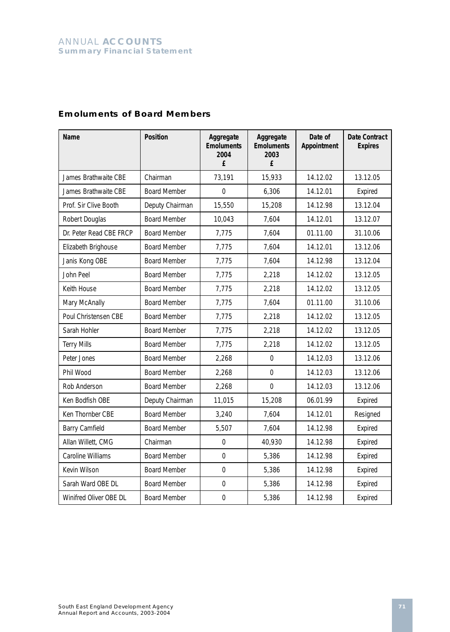### ANNUAL **ACCOUNTS Summary Financial Statement**

| Name                    | <b>Position</b>     | Aggregate<br><b>Emoluments</b><br>2004<br>£ | Aggregate<br><b>Emoluments</b><br>2003<br>£ | Date of<br>Appointment | <b>Date Contract</b><br><b>Expires</b> |
|-------------------------|---------------------|---------------------------------------------|---------------------------------------------|------------------------|----------------------------------------|
| James Brathwaite CBE    | Chairman            | 73,191                                      | 15,933                                      | 14.12.02               | 13.12.05                               |
| James Brathwaite CBE    | <b>Board Member</b> | $\mathbf 0$                                 | 6,306                                       | 14.12.01               | Expired                                |
| Prof. Sir Clive Booth   | Deputy Chairman     | 15,550                                      | 15,208                                      | 14.12.98               | 13.12.04                               |
| Robert Douglas          | <b>Board Member</b> | 10,043                                      | 7,604                                       | 14.12.01               | 13.12.07                               |
| Dr. Peter Read CBE FRCP | <b>Board Member</b> | 7,775                                       | 7,604                                       | 01.11.00               | 31.10.06                               |
| Elizabeth Brighouse     | <b>Board Member</b> | 7,775                                       | 7,604                                       | 14.12.01               | 13.12.06                               |
| Janis Kong OBE          | <b>Board Member</b> | 7,775                                       | 7,604                                       | 14.12.98               | 13.12.04                               |
| John Peel               | <b>Board Member</b> | 7,775                                       | 2,218                                       | 14.12.02               | 13.12.05                               |
| Keith House             | <b>Board Member</b> | 7,775                                       | 2,218                                       | 14.12.02               | 13.12.05                               |
| Mary McAnally           | <b>Board Member</b> | 7,775                                       | 7,604                                       | 01.11.00               | 31.10.06                               |
| Poul Christensen CBE    | <b>Board Member</b> | 7,775                                       | 2,218                                       | 14.12.02               | 13.12.05                               |
| Sarah Hohler            | <b>Board Member</b> | 7,775                                       | 2,218                                       | 14.12.02               | 13.12.05                               |
| <b>Terry Mills</b>      | <b>Board Member</b> | 7,775                                       | 2,218                                       | 14.12.02               | 13.12.05                               |
| Peter Jones             | <b>Board Member</b> | 2,268                                       | $\overline{0}$                              | 14.12.03               | 13.12.06                               |
| Phil Wood               | <b>Board Member</b> | 2,268                                       | $\overline{0}$                              | 14.12.03               | 13.12.06                               |
| Rob Anderson            | <b>Board Member</b> | 2,268                                       | $\overline{0}$                              | 14.12.03               | 13.12.06                               |
| Ken Bodfish OBE         | Deputy Chairman     | 11,015                                      | 15,208                                      | 06.01.99               | Expired                                |
| Ken Thornber CBE        | <b>Board Member</b> | 3,240                                       | 7,604                                       | 14.12.01               | Resigned                               |
| <b>Barry Camfield</b>   | <b>Board Member</b> | 5,507                                       | 7,604                                       | 14.12.98               | Expired                                |
| Allan Willett, CMG      | Chairman            | $\mathbf 0$                                 | 40,930                                      | 14.12.98               | Expired                                |
| Caroline Williams       | <b>Board Member</b> | $\overline{0}$                              | 5,386                                       | 14.12.98               | Expired                                |
| Kevin Wilson            | <b>Board Member</b> | $\mathbf 0$                                 | 5,386                                       | 14.12.98               | Expired                                |
| Sarah Ward OBE DL       | <b>Board Member</b> | $\mathbf 0$                                 | 5,386                                       | 14.12.98               | Expired                                |
| Winifred Oliver OBE DL  | <b>Board Member</b> | $\overline{0}$                              | 5,386                                       | 14.12.98               | Expired                                |

### **Emoluments of Board Members**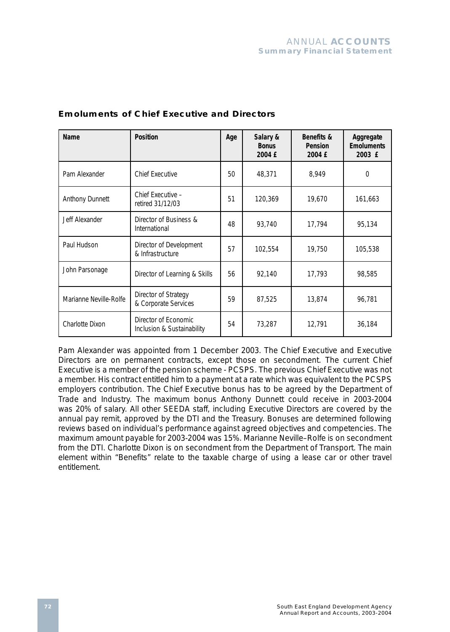| <b>Name</b>            | <b>Position</b>                                    | Age | Salary &<br><b>Bonus</b><br>2004 £ | Benefits &<br><b>Pension</b><br>2004 £ | Aggregate<br><b>Emoluments</b><br>2003 £ |
|------------------------|----------------------------------------------------|-----|------------------------------------|----------------------------------------|------------------------------------------|
| Pam Alexander          | <b>Chief Executive</b>                             | 50  | 48,371                             | 8,949                                  | $\theta$                                 |
| <b>Anthony Dunnett</b> | Chief Executive -<br>retired 31/12/03              | 51  | 120,369                            | 19,670                                 | 161,663                                  |
| Jeff Alexander         | Director of Business &<br>International            | 48  | 93,740                             | 17,794                                 | 95,134                                   |
| Paul Hudson            | Director of Development<br>& Infrastructure        | 57  | 102,554                            | 19,750                                 | 105,538                                  |
| John Parsonage         | Director of Learning & Skills                      | 56  | 92,140                             | 17,793                                 | 98,585                                   |
| Marianne Neville-Rolfe | Director of Strategy<br>& Corporate Services       | 59  | 87,525                             | 13,874                                 | 96,781                                   |
| <b>Charlotte Dixon</b> | Director of Economic<br>Inclusion & Sustainability | 54  | 73,287                             | 12,791                                 | 36,184                                   |

# **Emoluments of Chief Executive and Directors**

Pam Alexander was appointed from 1 December 2003. The Chief Executive and Executive Directors are on permanent contracts, except those on secondment. The current Chief Executive is a member of the pension scheme - PCSPS. The previous Chief Executive was not a member. His contract entitled him to a payment at a rate which was equivalent to the PCSPS employers contribution. The Chief Executive bonus has to be agreed by the Department of Trade and Industry. The maximum bonus Anthony Dunnett could receive in 2003-2004 was 20% of salary. All other SEEDA staff, including Executive Directors are covered by the annual pay remit, approved by the DTI and the Treasury. Bonuses are determined following reviews based on individual's performance against agreed objectives and competencies. The maximum amount payable for 2003-2004 was 15%. Marianne Neville–Rolfe is on secondment from the DTI. Charlotte Dixon is on secondment from the Department of Transport. The main element within "Benefits" relate to the taxable charge of using a lease car or other travel entitlement.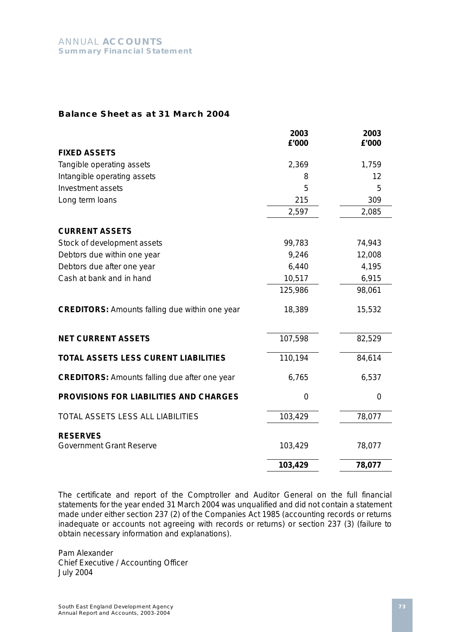# **Balance Sheet as at 31 March 2004**

|                                                       | 2003<br>£'000 | 2003<br>£'000    |
|-------------------------------------------------------|---------------|------------------|
| <b>FIXED ASSETS</b>                                   |               |                  |
| Tangible operating assets                             | 2,369         | 1,759            |
| Intangible operating assets                           | 8             | 12               |
| <b>Investment assets</b>                              | 5             | 5                |
| Long term loans                                       | 215           | 309              |
|                                                       | 2,597         | 2,085            |
| <b>CURRENT ASSETS</b>                                 |               |                  |
| Stock of development assets                           | 99,783        | 74,943           |
| Debtors due within one year                           | 9,246         | 12,008           |
| Debtors due after one year                            | 6,440         | 4,195            |
| Cash at bank and in hand                              | 10,517        | 6,915            |
|                                                       | 125,986       | 98,061           |
| <b>CREDITORS: Amounts falling due within one year</b> | 18,389        | 15,532           |
| <b>NET CURRENT ASSETS</b>                             | 107,598       | 82,529           |
| TOTAL ASSETS LESS CURENT LIABILITIES                  | 110,194       | 84,614           |
| <b>CREDITORS:</b> Amounts falling due after one year  | 6,765         | 6,537            |
| <b>PROVISIONS FOR LIABILITIES AND CHARGES</b>         | 0             | $\boldsymbol{0}$ |
| TOTAL ASSETS LESS ALL LIABILITIES                     | 103,429       | 78,077           |
| <b>RESERVES</b><br><b>Government Grant Reserve</b>    | 103,429       | 78,077           |
|                                                       | 103,429       | 78,077           |

The certificate and report of the Comptroller and Auditor General on the full financial statements for the year ended 31 March 2004 was unqualified and did not contain a statement made under either section 237 (2) of the Companies Act 1985 (accounting records or returns inadequate or accounts not agreeing with records or returns) or section 237 (3) (failure to obtain necessary information and explanations).

Pam Alexander Chief Executive / Accounting Officer July 2004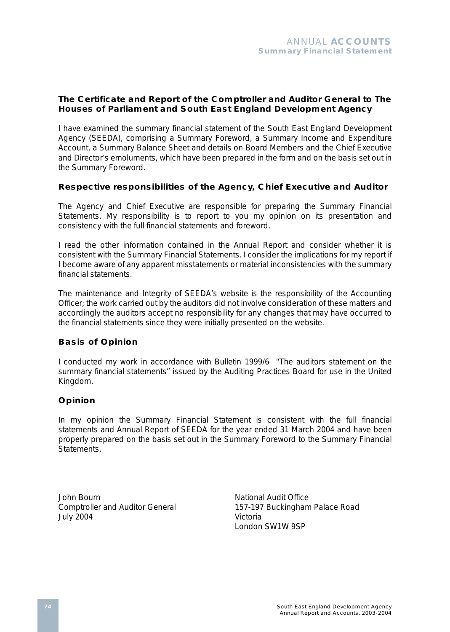# **The Certificate and Report of the Comptroller and Auditor General to The Houses of Parliament and South East England Development Agency**

I have examined the summary financial statement of the South East England Development Agency (SEEDA), comprising a Summary Foreword, a Summary Income and Expenditure Account, a Summary Balance Sheet and details on Board Members and the Chief Executive and Director's emoluments, which have been prepared in the form and on the basis set out in the Summary Foreword.

## **Respective responsibilities of the Agency, Chief Executive and Auditor**

The Agency and Chief Executive are responsible for preparing the Summary Financial Statements. My responsibility is to report to you my opinion on its presentation and consistency with the full financial statements and foreword.

I read the other information contained in the Annual Report and consider whether it is consistent with the Summary Financial Statements. I consider the implications for my report if I become aware of any apparent misstatements or material inconsistencies with the summary financial statements.

The maintenance and Integrity of SEEDA's website is the responsibility of the Accounting Officer; the work carried out by the auditors did not involve consideration of these matters and accordingly the auditors accept no responsibility for any changes that may have occurred to the financial statements since they were initially presented on the website.

## **Basis of Opinion**

I conducted my work in accordance with Bulletin 1999/6 "The auditors statement on the summary financial statements" issued by the Auditing Practices Board for use in the United Kingdom.

## **Opinion**

In my opinion the Summary Financial Statement is consistent with the full financial statements and Annual Report of SEEDA for the year ended 31 March 2004 and have been properly prepared on the basis set out in the Summary Foreword to the Summary Financial **Statements** 

**John Bourn National Audit Office** July 2004 Victoria

Comptroller and Auditor General 157-197 Buckingham Palace Road London SW1W 9SP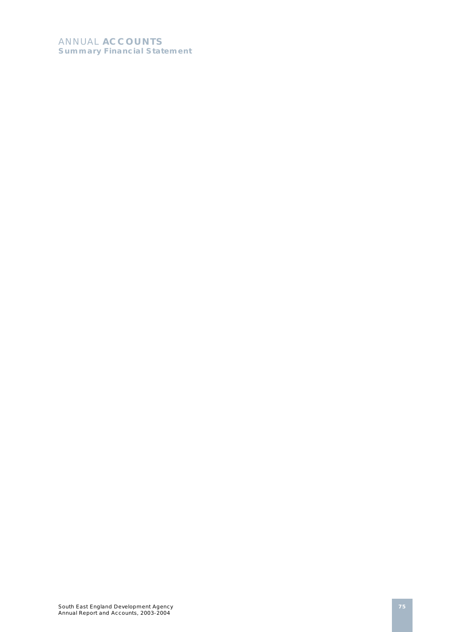# ANNUAL **ACCOUNTS Summary Financial Statement**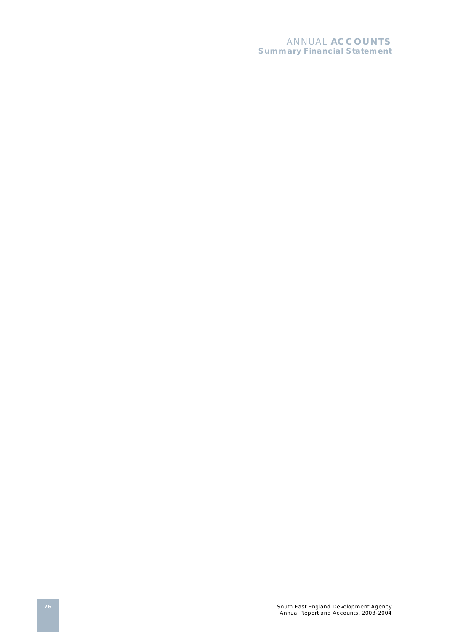## ANNUAL **ACCOUNTS Summary Financial Statement**